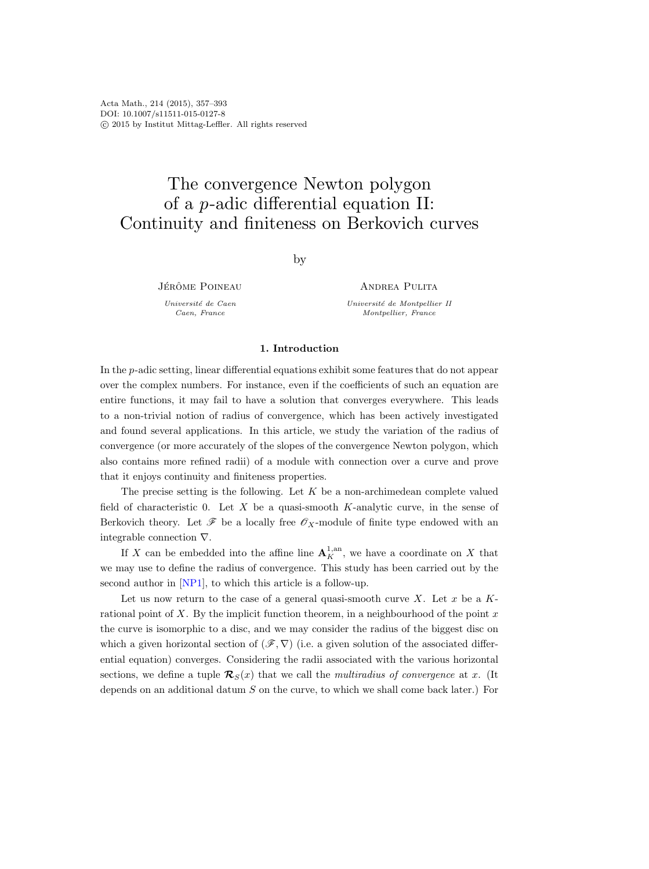# The convergence Newton polygon of a p-adic differential equation II: Continuity and finiteness on Berkovich curves

by

JÉRÔME POINEAU

Université de Caen Caen, France

ANDREA PULITA

Université de Montpellier II Montpellier, France

# 1. Introduction

In the p-adic setting, linear differential equations exhibit some features that do not appear over the complex numbers. For instance, even if the coefficients of such an equation are entire functions, it may fail to have a solution that converges everywhere. This leads to a non-trivial notion of radius of convergence, which has been actively investigated and found several applications. In this article, we study the variation of the radius of convergence (or more accurately of the slopes of the convergence Newton polygon, which also contains more refined radii) of a module with connection over a curve and prove that it enjoys continuity and finiteness properties.

The precise setting is the following. Let  $K$  be a non-archimedean complete valued field of characteristic 0. Let X be a quasi-smooth K-analytic curve, in the sense of Berkovich theory. Let  $\mathscr F$  be a locally free  $\mathscr O_X$ -module of finite type endowed with an integrable connection ∇.

If X can be embedded into the affine line  ${\bf A}^{1, \text{an}}_K$ , we have a coordinate on X that we may use to define the radius of convergence. This study has been carried out by the second author in [\[NP1\]](#page-36-0), to which this article is a follow-up.

Let us now return to the case of a general quasi-smooth curve X. Let  $x$  be a  $K$ rational point of  $X$ . By the implicit function theorem, in a neighbourhood of the point  $x$ the curve is isomorphic to a disc, and we may consider the radius of the biggest disc on which a given horizontal section of  $(\mathscr{F}, \nabla)$  (i.e. a given solution of the associated differential equation) converges. Considering the radii associated with the various horizontal sections, we define a tuple  $\mathcal{R}_{S}(x)$  that we call the multiradius of convergence at x. (It depends on an additional datum S on the curve, to which we shall come back later.) For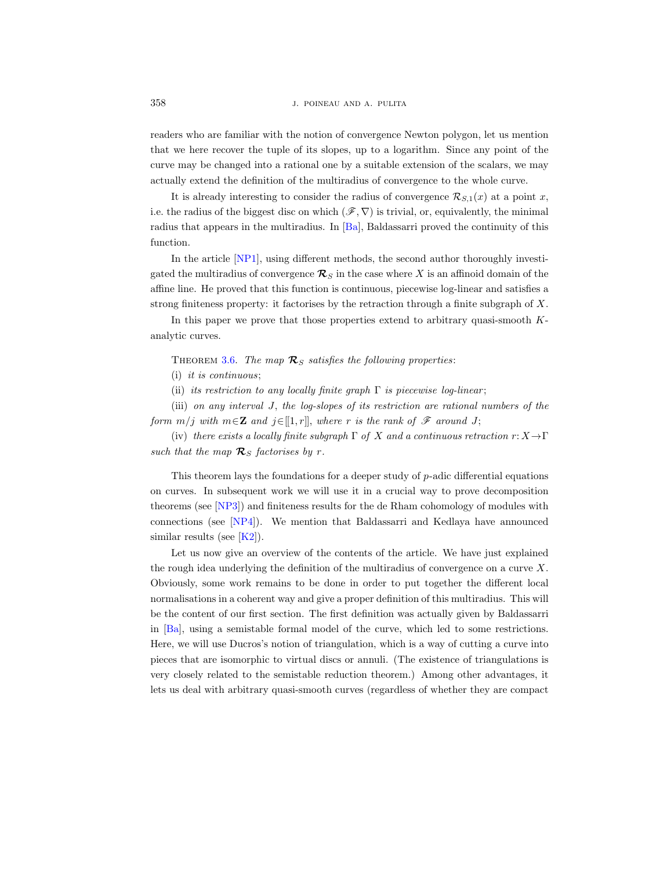readers who are familiar with the notion of convergence Newton polygon, let us mention that we here recover the tuple of its slopes, up to a logarithm. Since any point of the curve may be changed into a rational one by a suitable extension of the scalars, we may actually extend the definition of the multiradius of convergence to the whole curve.

It is already interesting to consider the radius of convergence  $\mathcal{R}_{S,1}(x)$  at a point x, i.e. the radius of the biggest disc on which  $(\mathscr{F}, \nabla)$  is trivial, or, equivalently, the minimal radius that appears in the multiradius. In [\[Ba\]](#page-35-0), Baldassarri proved the continuity of this function.

In the article [\[NP1\]](#page-36-0), using different methods, the second author thoroughly investigated the multiradius of convergence  $\mathcal{R}_S$  in the case where X is an affinoid domain of the affine line. He proved that this function is continuous, piecewise log-linear and satisfies a strong finiteness property: it factorises by the retraction through a finite subgraph of X.

In this paper we prove that those properties extend to arbitrary quasi-smooth Kanalytic curves.

THEOREM [3.6.](#page-21-0) The map  $\mathcal{R}_S$  satisfies the following properties:

(i) it is continuous;

(ii) its restriction to any locally finite graph  $\Gamma$  is piecewise log-linear;

(iii) on any interval J, the log-slopes of its restriction are rational numbers of the form  $m/j$  with  $m \in \mathbb{Z}$  and  $j \in [1, r]$ , where r is the rank of  $\mathscr{F}$  around J;

(iv) there exists a locally finite subgraph  $\Gamma$  of X and a continuous retraction  $r: X \to \Gamma$ such that the map  $\mathcal{R}_S$  factorises by r.

This theorem lays the foundations for a deeper study of p-adic differential equations on curves. In subsequent work we will use it in a crucial way to prove decomposition theorems (see [\[NP3\]](#page-36-1)) and finiteness results for the de Rham cohomology of modules with connections (see [\[NP4\]](#page-36-2)). We mention that Baldassarri and Kedlaya have announced similar results (see  $[K2]$ ).

Let us now give an overview of the contents of the article. We have just explained the rough idea underlying the definition of the multiradius of convergence on a curve  $X$ . Obviously, some work remains to be done in order to put together the different local normalisations in a coherent way and give a proper definition of this multiradius. This will be the content of our first section. The first definition was actually given by Baldassarri in [\[Ba\]](#page-35-0), using a semistable formal model of the curve, which led to some restrictions. Here, we will use Ducros's notion of triangulation, which is a way of cutting a curve into pieces that are isomorphic to virtual discs or annuli. (The existence of triangulations is very closely related to the semistable reduction theorem.) Among other advantages, it lets us deal with arbitrary quasi-smooth curves (regardless of whether they are compact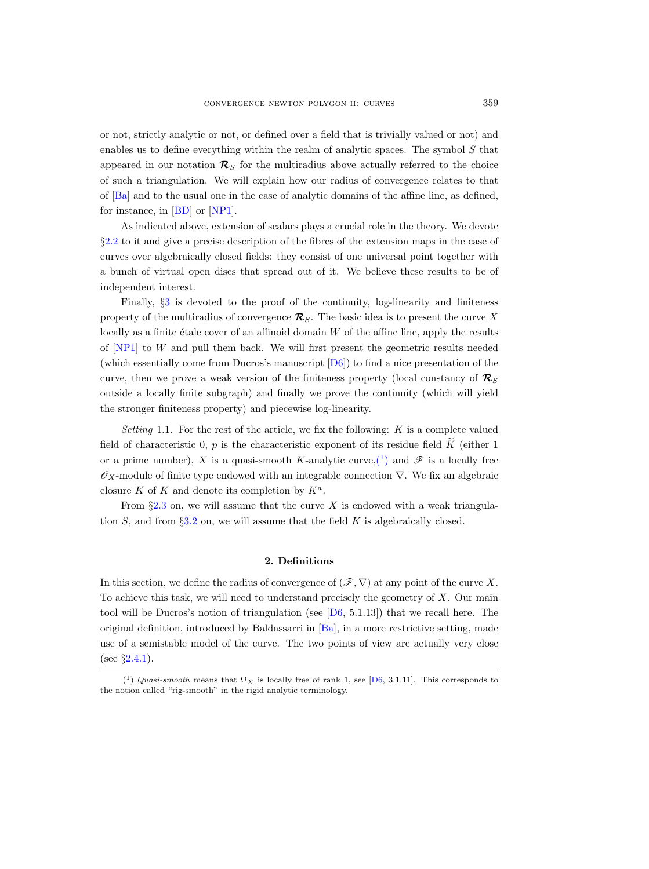or not, strictly analytic or not, or defined over a field that is trivially valued or not) and enables us to define everything within the realm of analytic spaces. The symbol  $S$  that appeared in our notation  $\mathcal{R}_S$  for the multiradius above actually referred to the choice of such a triangulation. We will explain how our radius of convergence relates to that of [\[Ba\]](#page-35-0) and to the usual one in the case of analytic domains of the affine line, as defined, for instance, in [\[BD\]](#page-35-2) or [\[NP1\]](#page-36-0).

As indicated above, extension of scalars plays a crucial role in the theory. We devote §[2.2](#page-4-0) to it and give a precise description of the fibres of the extension maps in the case of curves over algebraically closed fields: they consist of one universal point together with a bunch of virtual open discs that spread out of it. We believe these results to be of independent interest.

Finally,  $\S3$  $\S3$  is devoted to the proof of the continuity, log-linearity and finiteness property of the multiradius of convergence  $\mathcal{R}_S$ . The basic idea is to present the curve X locally as a finite étale cover of an affinoid domain  $W$  of the affine line, apply the results of [\[NP1\]](#page-36-0) to W and pull them back. We will first present the geometric results needed (which essentially come from Ducros's manuscript [\[D6\]](#page-35-3)) to find a nice presentation of the curve, then we prove a weak version of the finiteness property (local constancy of  $\mathcal{R}_S$ outside a locally finite subgraph) and finally we prove the continuity (which will yield the stronger finiteness property) and piecewise log-linearity.

Setting 1.1. For the rest of the article, we fix the following:  $K$  is a complete valued field of characteristic 0, p is the characteristic exponent of its residue field  $\tilde{K}$  (either 1 or a prime number), X is a quasi-smooth K-analytic curve,  $(1)$  and  $\mathscr F$  is a locally free  $\mathscr{O}_X$ -module of finite type endowed with an integrable connection  $\nabla$ . We fix an algebraic closure  $\overline{K}$  of K and denote its completion by  $K^a$ .

From  $\S 2.3$  $\S 2.3$  on, we will assume that the curve X is endowed with a weak triangulation  $S$ , and from §[3.2](#page-22-0) on, we will assume that the field  $K$  is algebraically closed.

# 2. Definitions

In this section, we define the radius of convergence of  $(\mathscr{F}, \nabla)$  at any point of the curve X. To achieve this task, we will need to understand precisely the geometry of  $X$ . Our main tool will be Ducros's notion of triangulation (see  $[D6, 5.1.13]$ ) that we recall here. The original definition, introduced by Baldassarri in [\[Ba\]](#page-35-0), in a more restrictive setting, made use of a semistable model of the curve. The two points of view are actually very close (see  $\S 2.4.1$ ).

<span id="page-2-0"></span><sup>(&</sup>lt;sup>1</sup>) Quasi-smooth means that  $\Omega_X$  is locally free of rank 1, see [\[D6,](#page-35-3) 3.1.11]. This corresponds to the notion called "rig-smooth" in the rigid analytic terminology.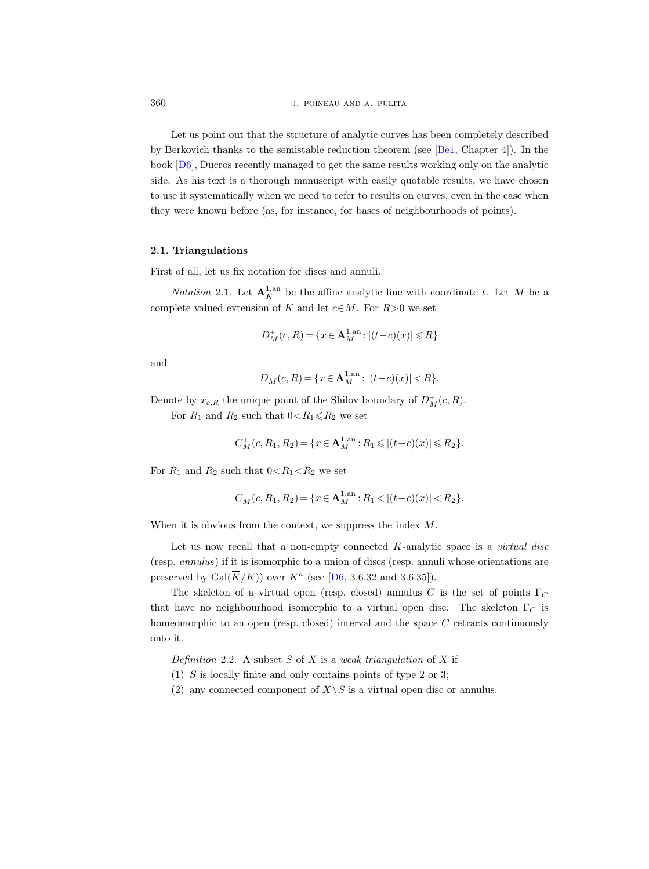Let us point out that the structure of analytic curves has been completely described by Berkovich thanks to the semistable reduction theorem (see [\[Be1,](#page-35-4) Chapter 4]). In the book [\[D6\]](#page-35-3), Ducros recently managed to get the same results working only on the analytic side. As his text is a thorough manuscript with easily quotable results, we have chosen to use it systematically when we need to refer to results on curves, even in the case when they were known before (as, for instance, for bases of neighbourhoods of points).

## 2.1. Triangulations

First of all, let us fix notation for discs and annuli.

*Notation* 2.1. Let  $\mathbf{A}_{K}^{1,\text{an}}$  be the affine analytic line with coordinate t. Let M be a complete valued extension of K and let  $c \in M$ . For  $R > 0$  we set

$$
D_M^+(c, R) = \{ x \in \mathbf{A}_M^{1, \text{an}} : |(t - c)(x)| \le R \}
$$

and

$$
D_M^-(c, R) = \{ x \in \mathbf{A}_M^{1, \text{an}} : |(t - c)(x)| < R \}.
$$

Denote by  $x_{c,R}$  the unique point of the Shilov boundary of  $D_M^+(c,R)$ .

For  $R_1$  and  $R_2$  such that  $0 < R_1 \le R_2$  we set

$$
C_M^+(c, R_1, R_2) = \{x \in \mathbf{A}_M^{1, \text{an}} : R_1 \leqslant |(t-c)(x)| \leqslant R_2\}.
$$

For  $R_1$  and  $R_2$  such that  $0 < R_1 < R_2$  we set

$$
C_M^-(c, R_1, R_2) = \{x \in \mathbf{A}_M^{1, \text{an}} : R_1 < |(t - c)(x)| < R_2\}.
$$

When it is obvious from the context, we suppress the index M.

Let us now recall that a non-empty connected  $K$ -analytic space is a *virtual disc* (resp. annulus) if it is isomorphic to a union of discs (resp. annuli whose orientations are preserved by  $Gal(\overline{K}/K)$  over  $K^a$  (see [\[D6,](#page-35-3) 3.6.32 and 3.6.35]).

The skeleton of a virtual open (resp. closed) annulus C is the set of points  $\Gamma_C$ that have no neighbourhood isomorphic to a virtual open disc. The skeleton  $\Gamma_C$  is homeomorphic to an open (resp. closed) interval and the space C retracts continuously onto it.

Definition 2.2. A subset S of X is a weak triangulation of X if

- (1) S is locally finite and only contains points of type 2 or 3;
- (2) any connected component of  $X\backslash S$  is a virtual open disc or annulus.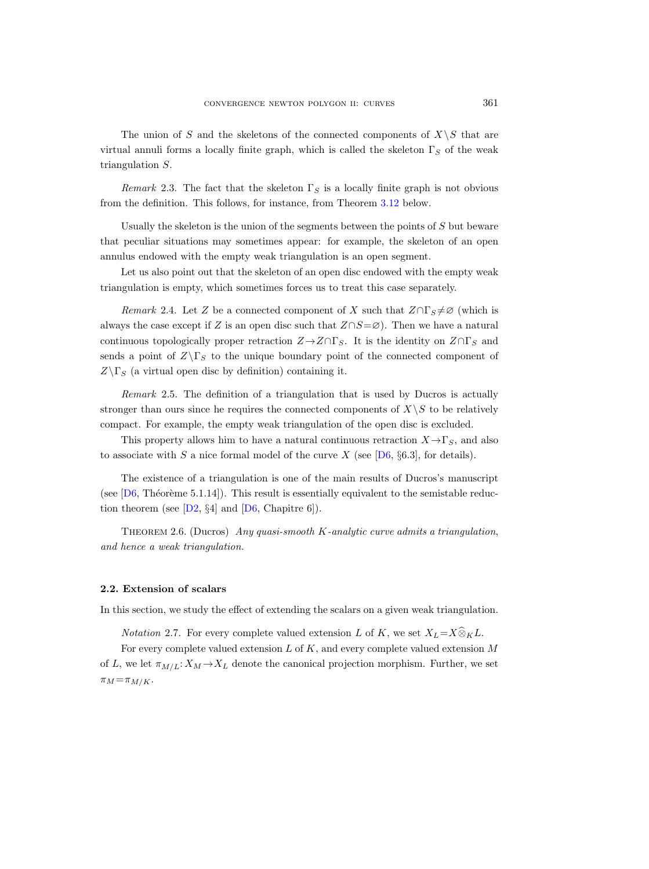The union of S and the skeletons of the connected components of  $X\backslash S$  that are virtual annuli forms a locally finite graph, which is called the skeleton  $\Gamma_S$  of the weak triangulation S.

Remark 2.3. The fact that the skeleton  $\Gamma_S$  is a locally finite graph is not obvious from the definition. This follows, for instance, from Theorem [3.12](#page-23-0) below.

Usually the skeleton is the union of the segments between the points of  $S$  but beware that peculiar situations may sometimes appear: for example, the skeleton of an open annulus endowed with the empty weak triangulation is an open segment.

Let us also point out that the skeleton of an open disc endowed with the empty weak triangulation is empty, which sometimes forces us to treat this case separately.

<span id="page-4-1"></span>Remark 2.4. Let Z be a connected component of X such that  $Z \cap \Gamma_S \neq \emptyset$  (which is always the case except if Z is an open disc such that  $Z \cap S = \emptyset$ . Then we have a natural continuous topologically proper retraction  $Z \rightarrow Z \cap \Gamma_S$ . It is the identity on  $Z \cap \Gamma_S$  and sends a point of  $Z\backslash \Gamma_S$  to the unique boundary point of the connected component of  $Z\backslash \Gamma_S$  (a virtual open disc by definition) containing it.

Remark 2.5. The definition of a triangulation that is used by Ducros is actually stronger than ours since he requires the connected components of  $X\setminus S$  to be relatively compact. For example, the empty weak triangulation of the open disc is excluded.

This property allows him to have a natural continuous retraction  $X \to \Gamma_S$ , and also to associate with S a nice formal model of the curve X (see  $[D6, \S6.3]$ , for details).

The existence of a triangulation is one of the main results of Ducros's manuscript (see  $[D6, Théorème 5.1.14]$ ). This result is essentially equivalent to the semistable reduction theorem (see  $[D2, \S4]$  and  $[D6,$  Chapitre 6]).

Theorem 2.6. (Ducros) Any quasi-smooth K-analytic curve admits a triangulation, and hence a weak triangulation.

## <span id="page-4-0"></span>2.2. Extension of scalars

In this section, we study the effect of extending the scalars on a given weak triangulation.

*Notation* 2.7. For every complete valued extension L of K, we set  $X_L=X\widehat{\otimes}_KL$ .

For every complete valued extension  $L$  of  $K$ , and every complete valued extension  $M$ of L, we let  $\pi_{M/L}: X_M \to X_L$  denote the canonical projection morphism. Further, we set  $\pi_M = \pi_{M/K}$ .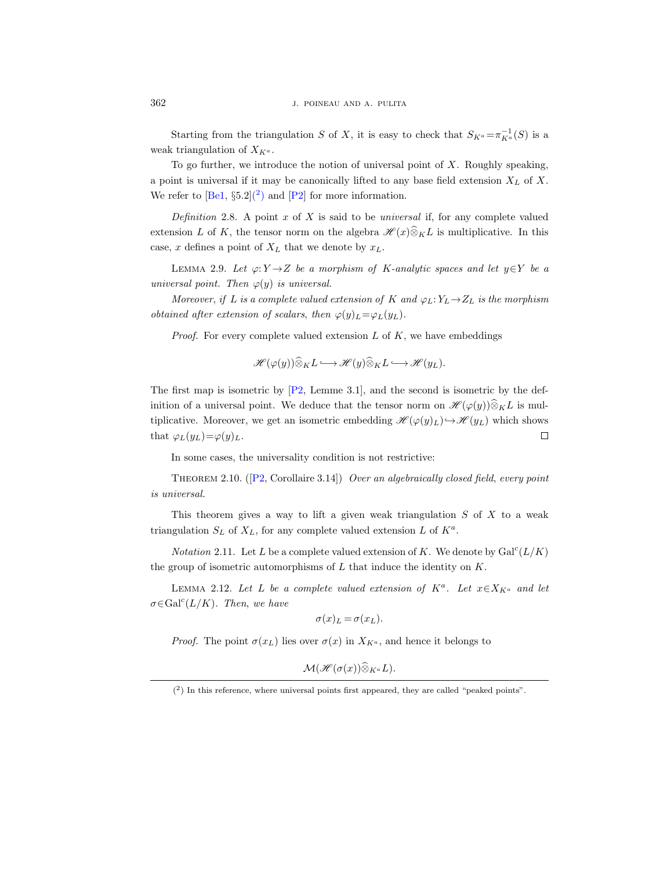Starting from the triangulation S of X, it is easy to check that  $S_{K^a} = \pi_{K^a}^{-1}(S)$  is a weak triangulation of  $X_{K^a}$ .

To go further, we introduce the notion of universal point of  $X$ . Roughly speaking, a point is universal if it may be canonically lifted to any base field extension  $X_L$  of X. We refer to  $[\text{Be1}, \S 5.2](^2)$  $[\text{Be1}, \S 5.2](^2)$  $[\text{Be1}, \S 5.2](^2)$  and  $[\text{P2}]$  for more information.

<span id="page-5-4"></span>Definition 2.8. A point  $x$  of  $X$  is said to be universal if, for any complete valued extension L of K, the tensor norm on the algebra  $\mathscr{H}(x)\widehat{\otimes}_K L$  is multiplicative. In this case, x defines a point of  $X_L$  that we denote by  $x_L$ .

<span id="page-5-2"></span>LEMMA 2.9. Let  $\varphi: Y \to Z$  be a morphism of K-analytic spaces and let  $y \in Y$  be a universal point. Then  $\varphi(y)$  is universal.

Moreover, if L is a complete valued extension of K and  $\varphi_L: Y_L \to Z_L$  is the morphism obtained after extension of scalars, then  $\varphi(y)_L = \varphi_L(y_L)$ .

*Proof.* For every complete valued extension  $L$  of  $K$ , we have embeddings

$$
\mathscr{H}(\varphi(y))\widehat{\otimes}_K L \longrightarrow \mathscr{H}(y)\widehat{\otimes}_K L \longrightarrow \mathscr{H}(y_L).
$$

The first map is isometric by [\[P2,](#page-36-3) Lemme 3.1], and the second is isometric by the definition of a universal point. We deduce that the tensor norm on  $\mathscr{H}(\varphi(y))\widehat{\otimes}_K L$  is multiplicative. Moreover, we get an isometric embedding  $\mathscr{H}(\varphi(y)_L) \hookrightarrow \mathscr{H}(y_L)$  which shows  $\Box$ that  $\varphi_L(y_L)=\varphi(y)_L$ .

In some cases, the universality condition is not restrictive:

<span id="page-5-3"></span>THEOREM2.10. ( $[P2, Corollaire 3.14]$  $[P2, Corollaire 3.14]$ ) Over an algebraically closed field, every point is universal.

This theorem gives a way to lift a given weak triangulation  $S$  of  $X$  to a weak triangulation  $S_L$  of  $X_L$ , for any complete valued extension L of  $K^a$ .

*Notation* 2.11. Let L be a complete valued extension of K. We denote by  $Gal<sup>c</sup>(L/K)$ the group of isometric automorphisms of  $L$  that induce the identity on  $K$ .

<span id="page-5-1"></span>LEMMA 2.12. Let L be a complete valued extension of  $K^a$ . Let  $x \in X_{K^a}$  and let  $\sigma \in \text{Gal}^{c}(L/K)$ . Then, we have

$$
\sigma(x)_L = \sigma(x_L).
$$

*Proof.* The point  $\sigma(x_L)$  lies over  $\sigma(x)$  in  $X_{K^a}$ , and hence it belongs to

 $\mathcal{M}(\mathscr{H}(\sigma(x))\widehat{\otimes}_{K^a}L).$ 

<span id="page-5-0"></span><sup>(</sup> 2 ) In this reference, where universal points first appeared, they are called "peaked points".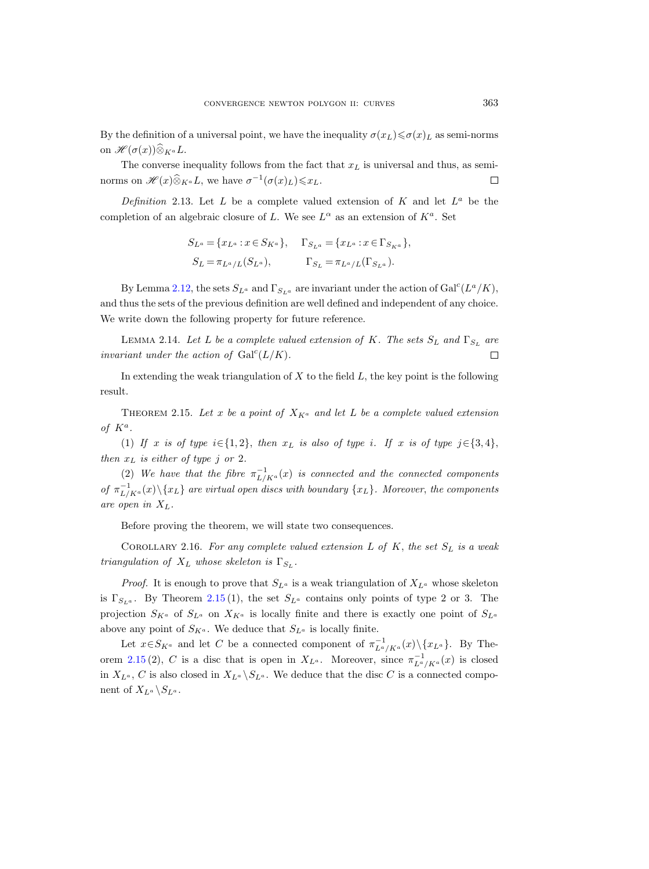By the definition of a universal point, we have the inequality  $\sigma(x_L) \leq \sigma(x_L)$  as semi-norms on  $\mathscr{H}(\sigma(x))\widehat{\otimes}_{K^a}L$ .

The converse inequality follows from the fact that  $x<sub>L</sub>$  is universal and thus, as seminorms on  $\mathscr{H}(x)\widehat{\otimes}_{K^a}L$ , we have  $\sigma^{-1}(\sigma(x)_L)\leq x_L$ .  $\Box$ 

Definition 2.13. Let L be a complete valued extension of K and let  $L^a$  be the completion of an algebraic closure of L. We see  $L^{\alpha}$  as an extension of  $K^a$ . Set

$$
S_{L^a} = \{x_{L^a} : x \in S_{K^a}\}, \quad \Gamma_{S_{L^a}} = \{x_{L^a} : x \in \Gamma_{S_{K^a}}\},
$$
  

$$
S_L = \pi_{L^a/L}(S_{L^a}), \qquad \Gamma_{S_L} = \pi_{L^a/L}(\Gamma_{S_{L^a}}).
$$

By Lemma [2.12,](#page-5-1) the sets  $S_{L^a}$  and  $\Gamma_{S_{L^a}}$  are invariant under the action of  $Gal^c(L^a/K)$ , and thus the sets of the previous definition are well defined and independent of any choice. We write down the following property for future reference.

<span id="page-6-1"></span>LEMMA 2.14. Let L be a complete valued extension of K. The sets  $S_L$  and  $\Gamma_{S_L}$  are invariant under the action of  $Gal<sup>c</sup>(L/K)$ .  $\Box$ 

In extending the weak triangulation of  $X$  to the field  $L$ , the key point is the following result.

<span id="page-6-0"></span>THEOREM 2.15. Let x be a point of  $X_{K^a}$  and let L be a complete valued extension of  $K^a$ .

(1) If x is of type  $i \in \{1, 2\}$ , then  $x_L$  is also of type i. If x is of type  $j \in \{3, 4\}$ , then  $x_L$  is either of type j or 2.

(2) We have that the fibre  $\pi^{-1}_{L/K^a}(x)$  is connected and the connected components of  $\pi_{L/K^a}^{-1}(x)\setminus \{x_L\}$  are virtual open discs with boundary  $\{x_L\}$ . Moreover, the components are open in  $X_L$ .

Before proving the theorem, we will state two consequences.

COROLLARY 2.16. For any complete valued extension  $L$  of  $K$ , the set  $S_L$  is a weak triangulation of  $X_L$  whose skeleton is  $\Gamma_{S_L}$ .

*Proof.* It is enough to prove that  $S_{L^a}$  is a weak triangulation of  $X_{L^a}$  whose skeleton is  $\Gamma_{S_{L^a}}$ . By Theorem [2.15](#page-6-0) (1), the set  $S_{L^a}$  contains only points of type 2 or 3. The projection  $S_{K^a}$  of  $S_{L^a}$  on  $X_{K^a}$  is locally finite and there is exactly one point of  $S_{L^a}$ above any point of  $S_{K^a}$ . We deduce that  $S_{L^a}$  is locally finite.

Let  $x \in S_{K^a}$  and let C be a connected component of  $\pi_{L^a/K^a}^{-1}(x) \setminus \{x_{L^a}\}.$  By The-orem [2.15](#page-6-0) (2), C is a disc that is open in  $X_{L^a}$ . Moreover, since  $\pi_{L^a/K^a}^{-1}(x)$  is closed in  $X_{L^a}$ , C is also closed in  $X_{L^a} \backslash S_{L^a}$ . We deduce that the disc C is a connected component of  $X_{L^a} \backslash S_{L^a}$ .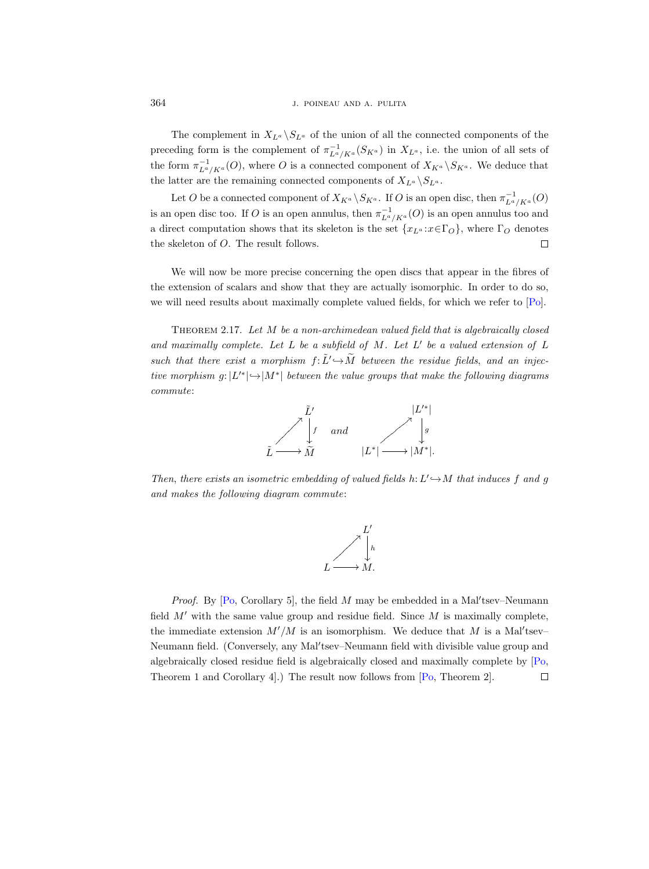The complement in  $X_{L^a} \backslash S_{L^a}$  of the union of all the connected components of the preceding form is the complement of  $\pi_{L^a/K^a}^{-1}(S_{K^a})$  in  $X_{L^a}$ , i.e. the union of all sets of the form  $\pi_{L^a/K^a}^{-1}(O)$ , where O is a connected component of  $X_{K^a} \backslash S_{K^a}$ . We deduce that the latter are the remaining connected components of  $X_{L<sup>a</sup>} \setminus S_{L<sup>a</sup>}$ .

Let O be a connected component of  $X_{K^a} \backslash S_{K^a}$ . If O is an open disc, then  $\pi_{L^a/K^a}^{-1}(O)$ is an open disc too. If O is an open annulus, then  $\pi_{L^a/K^a}^{-1}(O)$  is an open annulus too and a direct computation shows that its skeleton is the set  $\{x_{L^a}: x \in \Gamma_O\}$ , where  $\Gamma_O$  denotes the skeleton of O. The result follows.  $\Box$ 

We will now be more precise concerning the open discs that appear in the fibres of the extension of scalars and show that they are actually isomorphic. In order to do so, we will need results about maximally complete valued fields, for which we refer to [\[Po\]](#page-36-4).

<span id="page-7-0"></span>Theorem 2.17. Let M be a non-archimedean valued field that is algebraically closed and maximally complete. Let  $L$  be a subfield of  $M$ . Let  $L'$  be a valued extension of  $L$ such that there exist a morphism  $f: \tilde{L}' \rightarrow \tilde{M}$  between the residue fields, and an injective morphism  $g: |L'^*| \hookrightarrow |M^*|$  between the value groups that make the following diagrams commute:



Then, there exists an isometric embedding of valued fields  $h: L' \rightarrow M$  that induces f and g and makes the following diagram commute:



*Proof.* By [\[Po,](#page-36-4) Corollary 5], the field  $M$  may be embedded in a Mal'tsev-Neumann field  $M'$  with the same value group and residue field. Since  $M$  is maximally complete, the immediate extension  $M'/M$  is an isomorphism. We deduce that M is a Mal'tsev-Neumann field. (Conversely, any Mal'tsev-Neumann field with divisible value group and algebraically closed residue field is algebraically closed and maximally complete by [\[Po,](#page-36-4) Theorem 1 and Corollary 4].) The result now follows from [\[Po,](#page-36-4) Theorem 2]. $\Box$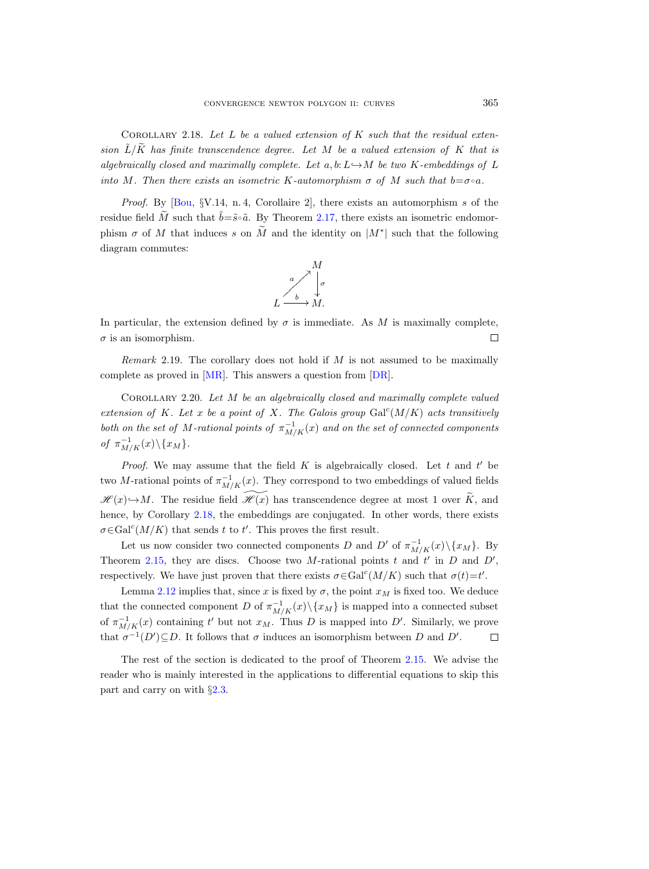<span id="page-8-0"></span>COROLLARY 2.18. Let  $L$  be a valued extension of  $K$  such that the residual extension  $\tilde{L}/\tilde{K}$  has finite transcendence degree. Let M be a valued extension of K that is algebraically closed and maximally complete. Let a, b:  $L \rightarrow M$  be two K-embeddings of L into M. Then there exists an isometric K-automorphism  $\sigma$  of M such that  $b = \sigma \circ a$ .

*Proof.* By  $[Bou, \S V.14, n.4, Corollaire 2]$ , there exists an automorphism s of the residue field  $\widetilde{M}$  such that  $\widetilde{b}=\widetilde{s}\circ\widetilde{a}$ . By Theorem [2.17,](#page-7-0) there exists an isometric endomorphism  $\sigma$  of M that induces s on  $\tilde{M}$  and the identity on  $|M^*|$  such that the following diagram commutes:



In particular, the extension defined by  $\sigma$  is immediate. As M is maximally complete,  $\sigma$  is an isomorphism.  $\Box$ 

Remark 2.19. The corollary does not hold if  $M$  is not assumed to be maximally complete as proved in [\[MR\]](#page-36-5). This answers a question from [\[DR\]](#page-35-7).

Corollary 2.20. Let M be an algebraically closed and maximally complete valued extension of K. Let x be a point of X. The Galois group  $Gal<sup>c</sup>(M/K)$  acts transitively both on the set of M-rational points of  $\pi_{M/K}^{-1}(x)$  and on the set of connected components of  $\pi_{M/K}^{-1}(x)\backslash\{x_M\}.$ 

*Proof.* We may assume that the field  $K$  is algebraically closed. Let  $t$  and  $t'$  be two M-rational points of  $\pi_{M/K}^{-1}(x)$ . They correspond to two embeddings of valued fields  $\mathscr{H}(x) \rightarrow M$ . The residue field  $\mathscr{H}(x)$  has transcendence degree at most 1 over  $\widetilde{K}$ , and hence, by Corollary [2.18,](#page-8-0) the embeddings are conjugated. In other words, there exists  $\sigma \in \text{Gal}^c(M/K)$  that sends t to t'. This proves the first result.

Let us now consider two connected components D and D' of  $\pi^{-1}_{M/K}(x)\setminus\{x_M\}$ . By Theorem [2.15,](#page-6-0) they are discs. Choose two M-rational points t and t' in  $D$  and  $D'$ , respectively. We have just proven that there exists  $\sigma \in \text{Gal}^c(M/K)$  such that  $\sigma(t) = t'$ .

Lemma [2.12](#page-5-1) implies that, since x is fixed by  $\sigma$ , the point  $x_M$  is fixed too. We deduce that the connected component D of  $\pi^{-1}_{M/K}(x)\backslash\{x_M\}$  is mapped into a connected subset of  $\pi_{M/K}^{-1}(x)$  containing t' but not  $x_M$ . Thus D is mapped into D'. Similarly, we prove that  $\sigma^{-1}(D') \subseteq D$ . It follows that  $\sigma$  induces an isomorphism between D and D'.  $\Box$ 

The rest of the section is dedicated to the proof of Theorem [2.15.](#page-6-0) We advise the reader who is mainly interested in the applications to differential equations to skip this part and carry on with §[2.3.](#page-14-0)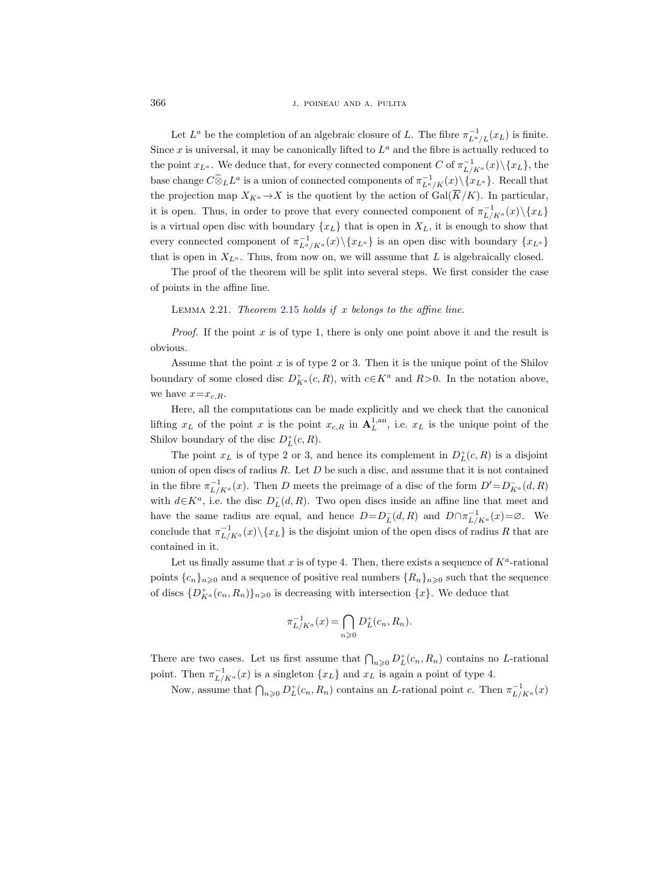366 J. POINEAU AND A. PULITA

Let  $L^a$  be the completion of an algebraic closure of L. The fibre  $\pi_{L^a/L}^{-1}(x_L)$  is finite. Since x is universal, it may be canonically lifted to  $L^a$  and the fibre is actually reduced to the point  $x_{L^a}$ . We deduce that, for every connected component C of  $\pi^{-1}_{L/K^a}(x)\setminus\{x_L\}$ , the base change  $C\widehat{\otimes}_L L^a$  is a union of connected components of  $\pi_{L^a/K}^{-1}(x)\setminus \{x_{L^a}\}\.$  Recall that the projection map  $X_{K^a} \to X$  is the quotient by the action of Gal( $\overline{K}/K$ ). In particular, it is open. Thus, in order to prove that every connected component of  $\pi_{L/K^a}^{-1}(x)\setminus\{x_L\}$ is a virtual open disc with boundary  $\{x_L\}$  that is open in  $X_L$ , it is enough to show that every connected component of  $\pi_{L^a/K^a}^{-1}(x)\setminus\{x_{L^a}\}\$ is an open disc with boundary  $\{x_{L^a}\}\$ that is open in  $X_{L^a}$ . Thus, from now on, we will assume that L is algebraically closed.

The proof of the theorem will be split into several steps. We first consider the case of points in the affine line.

<span id="page-9-0"></span>LEMMA 2.21. Theorem [2.15](#page-6-0) holds if  $x$  belongs to the affine line.

*Proof.* If the point x is of type 1, there is only one point above it and the result is obvious.

Assume that the point  $x$  is of type 2 or 3. Then it is the unique point of the Shilov boundary of some closed disc  $D^+_{K^a}(c, R)$ , with  $c \in K^a$  and  $R>0$ . In the notation above, we have  $x=x_{c,R}$ .

Here, all the computations can be made explicitly and we check that the canonical lifting  $x_L$  of the point x is the point  $x_{c,R}$  in  $\mathbf{A}_L^{1,an}$ , i.e.  $x_L$  is the unique point of the Shilov boundary of the disc  $D_L^+(c, R)$ .

The point  $x_L$  is of type 2 or 3, and hence its complement in  $D_L^+(c, R)$  is a disjoint union of open discs of radius  $R$ . Let  $D$  be such a disc, and assume that it is not contained in the fibre  $\pi_{L/K^a}^{-1}(x)$ . Then D meets the preimage of a disc of the form  $D' = D_{K^a}^-(d, R)$ with  $d\in K^a$ , i.e. the disc  $D_L^-(d, R)$ . Two open discs inside an affine line that meet and have the same radius are equal, and hence  $D=D_{L}^{-}(d, R)$  and  $D\cap \pi_{L/K^{a}}^{-1}(x)=\emptyset$ . We conclude that  $\pi_{L/K^a}^{-1}(x)\setminus\{x_L\}$  is the disjoint union of the open discs of radius R that are contained in it.

Let us finally assume that x is of type 4. Then, there exists a sequence of  $K^a$ -rational points  ${c_n}_{n\geq 0}$  and a sequence of positive real numbers  ${R_n}_{n\geq 0}$  such that the sequence of discs  $\{D_{K^a}^+(c_n,R_n)\}_{n\geqslant0}$  is decreasing with intersection  $\{x\}$ . We deduce that

$$
\pi_{L/K^a}^{-1}(x) = \bigcap_{n \geq 0} D_L^+(c_n, R_n).
$$

There are two cases. Let us first assume that  $\bigcap_{n\geqslant 0} D^+_L(c_n, R_n)$  contains no L-rational point. Then  $\pi^{-1}_{L/K^a}(x)$  is a singleton  $\{x_L\}$  and  $x_L$  is again a point of type 4.

Now, assume that  $\bigcap_{n\geqslant 0} D_L^+(c_n, R_n)$  contains an *L*-rational point c. Then  $\pi^{-1}_{L/K^a}(x)$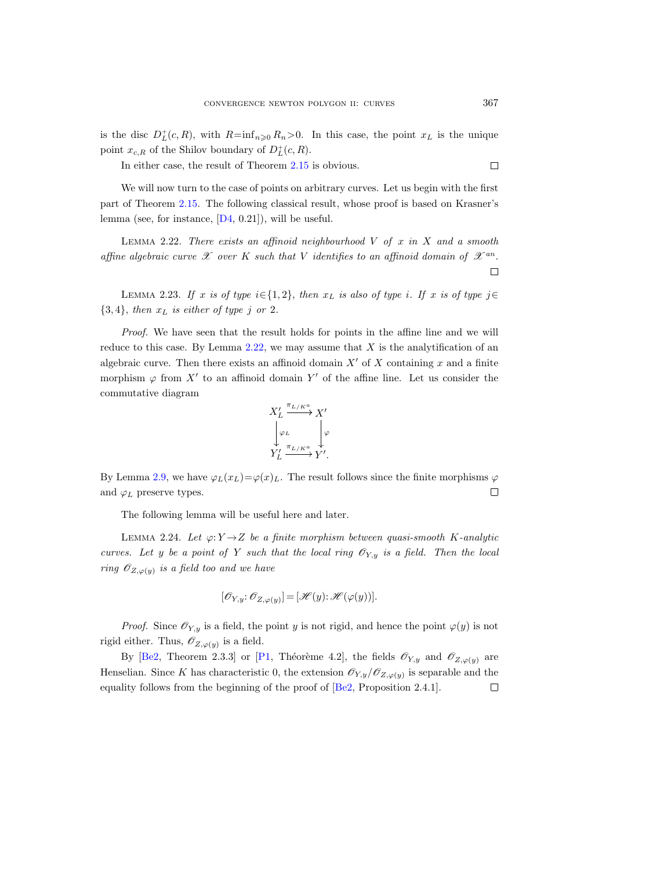is the disc  $D^+_L(c, R)$ , with  $R = \inf_{n \geq 0} R_n > 0$ . In this case, the point  $x_L$  is the unique point  $x_{c,R}$  of the Shilov boundary of  $D_L^+(c,R)$ .

In either case, the result of Theorem [2.15](#page-6-0) is obvious.

We will now turn to the case of points on arbitrary curves. Let us begin with the first part of Theorem [2.15.](#page-6-0) The following classical result, whose proof is based on Krasner's lemma (see, for instance,  $[D4, 0.21]$ ), will be useful.

<span id="page-10-0"></span>LEMMA 2.22. There exists an affinoid neighbourhood  $V$  of  $x$  in  $X$  and a smooth affine algebraic curve  $\mathscr X$  over K such that V identifies to an affinoid domain of  $\mathscr X^{an}$ .  $\Box$ 

LEMMA 2.23. If x is of type  $i \in \{1, 2\}$ , then  $x_L$  is also of type i. If x is of type  $j \in$  $\{3, 4\}$ , then  $x_L$  is either of type j or 2.

Proof. We have seen that the result holds for points in the affine line and we will reduce to this case. By Lemma  $2.22$ , we may assume that X is the analytification of an algebraic curve. Then there exists an affinoid domain  $X'$  of X containing x and a finite morphism  $\varphi$  from X' to an affinoid domain Y' of the affine line. Let us consider the commutative diagram



By Lemma [2.9,](#page-5-2) we have  $\varphi_L(x_L)=\varphi(x)_L$ . The result follows since the finite morphisms  $\varphi$ and  $\varphi_L$  preserve types.  $\Box$ 

The following lemma will be useful here and later.

<span id="page-10-1"></span>LEMMA 2.24. Let  $\varphi: Y \to Z$  be a finite morphism between quasi-smooth K-analytic curves. Let y be a point of Y such that the local ring  $\mathcal{O}_{Y,y}$  is a field. Then the local ring  $\mathscr{O}_{Z,\varphi(y)}$  is a field too and we have

$$
[\mathscr{O}_{Y,y}\colon \mathscr{O}_{Z,\varphi(y)}] = [\mathscr{H}(y)\colon \mathscr{H}(\varphi(y))].
$$

*Proof.* Since  $\mathscr{O}_{Y,y}$  is a field, the point y is not rigid, and hence the point  $\varphi(y)$  is not rigid either. Thus,  $\mathscr{O}_{Z,\varphi(y)}$  is a field.

By [\[Be2,](#page-35-9) Theorem 2.3.3] or [\[P1,](#page-36-6) Théorème 4.2], the fields  $\mathcal{O}_{Y,y}$  and  $\mathcal{O}_{Z,\varphi(y)}$  are Henselian. Since K has characteristic 0, the extension  $\mathcal{O}_{Y,y}/\mathcal{O}_{Z,\varphi(y)}$  is separable and the equality follows from the beginning of the proof of [\[Be2,](#page-35-9) Proposition 2.4.1]. $\Box$ 

 $\Box$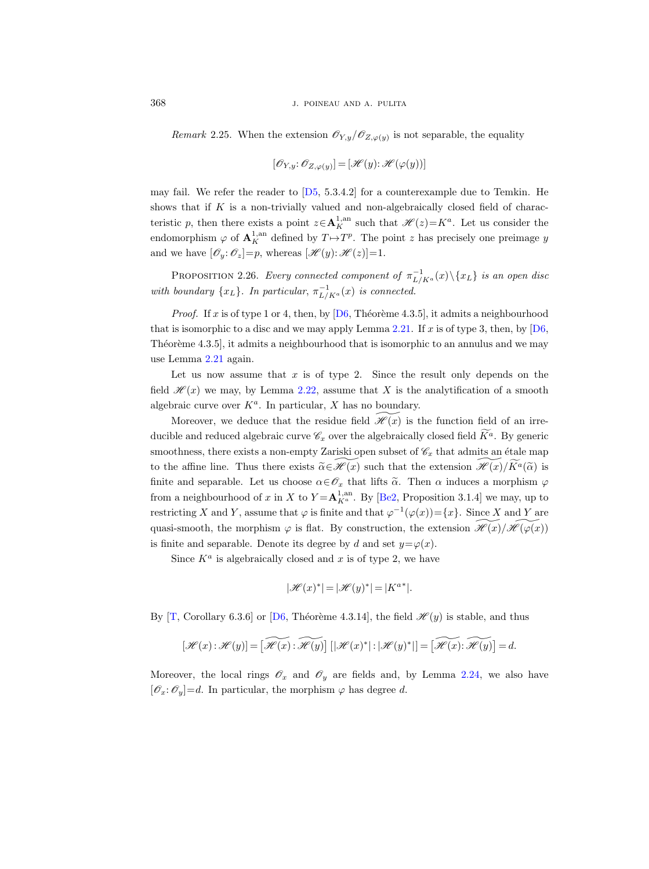Remark 2.25. When the extension  $\mathscr{O}_{Y,y}/\mathscr{O}_{Z,\varphi(y)}$  is not separable, the equality

$$
[\mathscr{O}_{Y,y}\colon \mathscr{O}_{Z,\varphi(y)}] = [\mathscr{H}(y)\colon \mathscr{H}(\varphi(y))]
$$

may fail. We refer the reader to  $[D5, 5.3.4.2]$  for a counterexample due to Temkin. He shows that if K is a non-trivially valued and non-algebraically closed field of characteristic p, then there exists a point  $z \in \mathbf{A}^{1,an}_K$  such that  $\mathscr{H}(z) = K^a$ . Let us consider the endomorphism  $\varphi$  of  $\mathbf{A}_K^{1,\text{an}}$  defined by  $T \mapsto T^p$ . The point z has precisely one preimage y and we have  $[\mathscr{O}_y: \mathscr{O}_z] = p$ , whereas  $[\mathscr{H}(y): \mathscr{H}(z)] = 1$ .

<span id="page-11-0"></span>PROPOSITION 2.26. Every connected component of  $\pi_{L/K^a}^{-1}(x)\setminus\{x_L\}$  is an open disc with boundary  $\{x_L\}$ . In particular,  $\pi^{-1}_{L/K^a}(x)$  is connected.

*Proof.* If x is of type 1 or 4, then, by  $[D6, Théorème 4.3.5]$ , it admits a neighbourhood that is isomorphic to a disc and we may apply Lemma [2.21.](#page-9-0) If x is of type 3, then, by  $[D6]$ , Theoreme  $(4.3.5)$ , it admits a neighbourhood that is isomorphic to an annulus and we may use Lemma [2.21](#page-9-0) again.

Let us now assume that  $x$  is of type 2. Since the result only depends on the field  $\mathscr{H}(x)$  we may, by Lemma [2.22,](#page-10-0) assume that X is the analytification of a smooth algebraic curve over  $K^a$ . In particular, X has no boundary.

Moreover, we deduce that the residue field  $\mathcal{H}(x)$  is the function field of an irreducible and reduced algebraic curve  $\mathscr{C}_x$  over the algebraically closed field  $\widetilde{K}^a$ . By generic smoothness, there exists a non-empty Zariski open subset of  $\mathscr{C}_x$  that admits an étale map to the affine line. Thus there exists  $\tilde{\alpha} \in \mathcal{H}(x)$  such that the extension  $\mathcal{H}(x)/K^{\alpha}(\tilde{\alpha})$  is finite and separable. Let us choose  $\alpha \in \mathcal{O}_x$  that lifts  $\tilde{\alpha}$ . Then  $\alpha$  induces a morphism  $\varphi$ from a neighbourhood of x in X to  $Y = \mathbf{A}^{1, \text{an}}_{K^a}$ . By [\[Be2,](#page-35-9) Proposition 3.1.4] we may, up to restricting X and Y, assume that  $\varphi$  is finite and that  $\varphi^{-1}(\varphi(x)) = \{x\}$ . Since X and Y are quasi-smooth, the morphism  $\varphi$  is flat. By construction, the extension  $\mathscr{H}(x)/\mathscr{H}(\varphi(x))$ is finite and separable. Denote its degree by d and set  $y = \varphi(x)$ .

Since  $K^a$  is algebraically closed and x is of type 2, we have

$$
|\mathscr{H}(x)^*|=|\mathscr{H}(y)^*|=|K^{a*}|.
$$

By  $[T,$  Corollary 6.3.6] or  $[D6,$  Théorème 4.3.14], the field  $\mathcal{H}(y)$  is stable, and thus

$$
[\mathcal{H}(x):\mathcal{H}(y)]=[\widetilde{\mathcal{H}(x)}:\widetilde{\mathcal{H}(y)}]\left[|\mathcal{H}(x)^*|:|\mathcal{H}(y)^*|\right]=[\widetilde{\mathcal{H}(x)}:\widetilde{\mathcal{H}(y)}]=d.
$$

Moreover, the local rings  $\mathscr{O}_x$  and  $\mathscr{O}_y$  are fields and, by Lemma [2.24,](#page-10-1) we also have  $[\mathscr{O}_x:\mathscr{O}_y]=d.$  In particular, the morphism  $\varphi$  has degree d.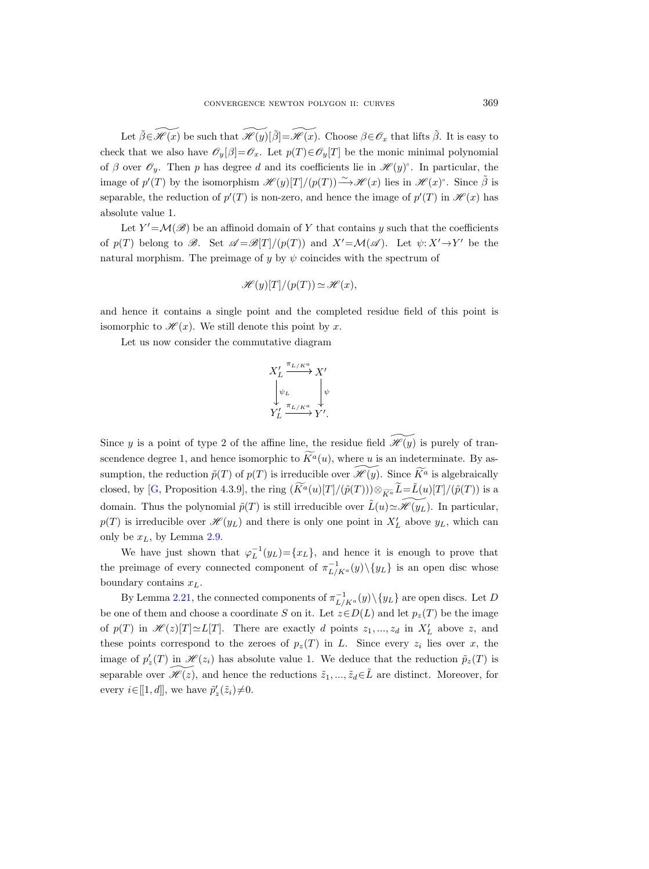Let  $\tilde{\beta} \in \widetilde{\mathscr{H}}(x)$  be such that  $\widetilde{\mathscr{H}}(y)[\tilde{\beta}]=\widetilde{\mathscr{H}}(x)$ . Choose  $\beta \in \mathscr{O}_x$  that lifts  $\tilde{\beta}$ . It is easy to check that we also have  $\mathscr{O}_y[\beta]=\mathscr{O}_x$ . Let  $p(T)\in\mathscr{O}_y[T]$  be the monic minimal polynomial of  $\beta$  over  $\mathscr{O}_y$ . Then p has degree d and its coefficients lie in  $\mathscr{H}(y)$ °. In particular, the image of  $p'(T)$  by the isomorphism  $\mathscr{H}(y)[T]/(p(T)) \longrightarrow \mathscr{H}(x)$  lies in  $\mathscr{H}(x)$ °. Since  $\tilde{\beta}$  is separable, the reduction of  $p'(T)$  is non-zero, and hence the image of  $p'(T)$  in  $\mathscr{H}(x)$  has absolute value 1.

Let  $Y' = \mathcal{M}(\mathscr{B})$  be an affinoid domain of Y that contains y such that the coefficients of  $p(T)$  belong to  $\mathscr{B}$ . Set  $\mathscr{A} = \mathscr{B}[T]/(p(T))$  and  $X' = \mathcal{M}(\mathscr{A})$ . Let  $\psi: X' \to Y'$  be the natural morphism. The preimage of y by  $\psi$  coincides with the spectrum of

$$
\mathcal{H}(y)[T]/(p(T)) \simeq \mathcal{H}(x),
$$

and hence it contains a single point and the completed residue field of this point is isomorphic to  $\mathcal{H}(x)$ . We still denote this point by x.

Let us now consider the commutative diagram

$$
X_L' \xrightarrow{\pi_{L/K^a}} X' \downarrow
$$
  

$$
\downarrow \psi_L \downarrow \psi
$$
  

$$
Y_L' \xrightarrow{\pi_{L/K^a}} Y'.
$$

Since y is a point of type 2 of the affine line, the residue field  $\mathscr{H}(y)$  is purely of transcendence degree 1, and hence isomorphic to  $\widetilde{K}^a(u)$ , where u is an indeterminate. By assumption, the reduction  $\tilde{p}(T)$  of  $p(T)$  is irreducible over  $\mathscr{H}(y)$ . Since  $\widetilde{K}^a$  is algebraically closed, by [\[G,](#page-35-11) Proposition 4.3.9], the ring  $(\widetilde{K}^a(u)[T]/(\widetilde{p}(T)))\otimes_{\widetilde{K}^a}\widetilde{L}=\widetilde{L}(u)[T]/(\widetilde{p}(T))$  is a domain. Thus the polynomial  $\tilde{p}(T)$  is still irreducible over  $\tilde{L}(u) \simeq \mathcal{H}(y_L)$ . In particular,  $p(T)$  is irreducible over  $\mathscr{H}(y_L)$  and there is only one point in  $X'_L$  above  $y_L$ , which can only be  $x_L$ , by Lemma [2.9.](#page-5-2)

We have just shown that  $\varphi_L^{-1}(y_L) = \{x_L\}$ , and hence it is enough to prove that the preimage of every connected component of  $\pi^{-1}_{L/K^a}(y)\setminus\{y_L\}$  is an open disc whose boundary contains  $x_L$ .

By Lemma [2.21,](#page-9-0) the connected components of  $\pi^{-1}_{L/K^a}(y) \setminus \{y_L\}$  are open discs. Let D be one of them and choose a coordinate S on it. Let  $z \in D(L)$  and let  $p_z(T)$  be the image of  $p(T)$  in  $\mathscr{H}(z)[T] \simeq L[T]$ . There are exactly d points  $z_1, ..., z_d$  in  $X'_L$  above z, and these points correspond to the zeroes of  $p_z(T)$  in L. Since every  $z_i$  lies over x, the image of  $p'_{z}(T)$  in  $\mathcal{H}(z_i)$  has absolute value 1. We deduce that the reduction  $\tilde{p}_{z}(T)$  is separable over  $\widetilde{\mathscr{H}(z)}$ , and hence the reductions  $\widetilde{z}_1, ..., \widetilde{z}_d \in \widetilde{L}$  are distinct. Moreover, for every  $i \in [[1, d]],$  we have  $\tilde{p}'_z(\tilde{z}_i) \neq 0$ .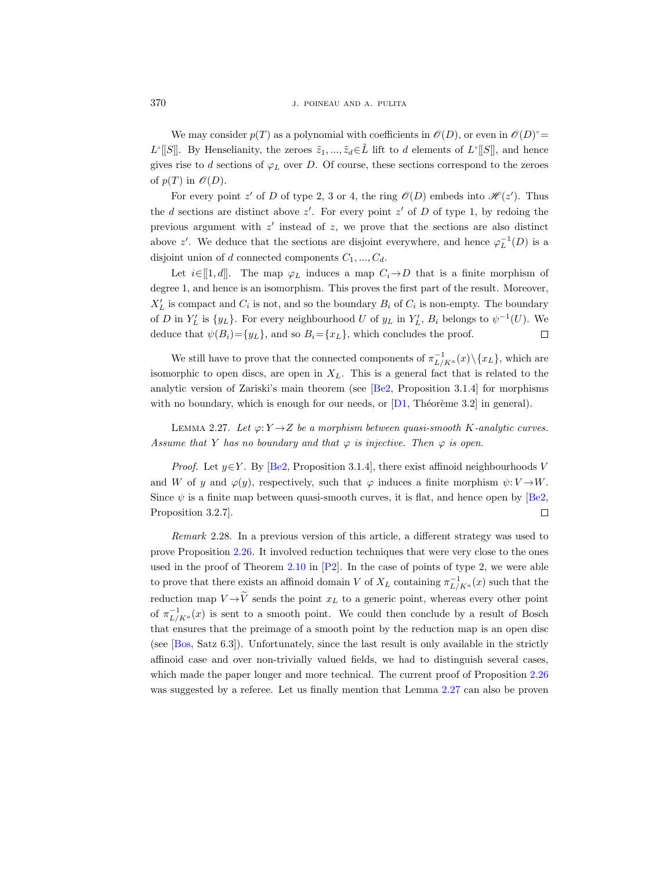We may consider  $p(T)$  as a polynomial with coefficients in  $\mathscr{O}(D)$ , or even in  $\mathscr{O}(D)$ <sup>o</sup>  $L^{\circ}[[S]]$ . By Henselianity, the zeroes  $\tilde{z}_1, ..., \tilde{z}_d \in \tilde{L}$  lift to d elements of  $L^{\circ}[[S]]$ , and hence gives rise to d sections of  $\varphi_L$  over D. Of course, these sections correspond to the zeroes of  $p(T)$  in  $\mathcal{O}(D)$ .

For every point z' of D of type 2, 3 or 4, the ring  $\mathcal{O}(D)$  embeds into  $\mathcal{H}(z')$ . Thus the d sections are distinct above  $z'$ . For every point  $z'$  of D of type 1, by redoing the previous argument with  $z'$  instead of  $z$ , we prove that the sections are also distinct above z'. We deduce that the sections are disjoint everywhere, and hence  $\varphi_L^{-1}(D)$  is a disjoint union of d connected components  $C_1, ..., C_d$ .

Let  $i\in[[1, d]]$ . The map  $\varphi_L$  induces a map  $C_i\rightarrow D$  that is a finite morphism of degree 1, and hence is an isomorphism. This proves the first part of the result. Moreover,  $X'_L$  is compact and  $C_i$  is not, and so the boundary  $B_i$  of  $C_i$  is non-empty. The boundary of D in  $Y_L'$  is  $\{y_L\}$ . For every neighbourhood U of  $y_L$  in  $Y_L'$ ,  $B_i$  belongs to  $\psi^{-1}(U)$ . We deduce that  $\psi(B_i) = \{y_L\}$ , and so  $B_i = \{x_L\}$ , which concludes the proof.  $\Box$ 

We still have to prove that the connected components of  $\pi_{L/K^a}^{-1}(x) \setminus \{x_L\}$ , which are isomorphic to open discs, are open in  $X_L$ . This is a general fact that is related to the analytic version of Zariski's main theorem (see [\[Be2,](#page-35-9) Proposition 3.1.4] for morphisms with no boundary, which is enough for our needs, or  $[D1, Théorème 3.2]$  in general).

<span id="page-13-0"></span>LEMMA 2.27. Let  $\varphi: Y \to Z$  be a morphism between quasi-smooth K-analytic curves. Assume that Y has no boundary and that  $\varphi$  is injective. Then  $\varphi$  is open.

*Proof.* Let  $y \in Y$ . By [\[Be2,](#page-35-9) Proposition 3.1.4], there exist affinoid neighbourhoods V and W of y and  $\varphi(y)$ , respectively, such that  $\varphi$  induces a finite morphism  $\psi: V \to W$ . Since  $\psi$  is a finite map between quasi-smooth curves, it is flat, and hence open by [\[Be2,](#page-35-9) Proposition 3.2.7].  $\Box$ 

<span id="page-13-1"></span>Remark 2.28. In a previous version of this article, a different strategy was used to prove Proposition [2.26.](#page-11-0) It involved reduction techniques that were very close to the ones used in the proof of Theorem [2.10](#page-5-3) in  $[P2]$ . In the case of points of type 2, we were able to prove that there exists an affinoid domain V of  $X_L$  containing  $\pi^{-1}_{L/K^a}(x)$  such that the reduction map  $V \rightarrow \widetilde{V}$  sends the point  $x_L$  to a generic point, whereas every other point of  $\pi^{-1}_{L/K^a}(x)$  is sent to a smooth point. We could then conclude by a result of Bosch that ensures that the preimage of a smooth point by the reduction map is an open disc (see [\[Bos,](#page-35-13) Satz 6.3]). Unfortunately, since the last result is only available in the strictly affinoid case and over non-trivially valued fields, we had to distinguish several cases, which made the paper longer and more technical. The current proof of Proposition [2.26](#page-11-0) was suggested by a referee. Let us finally mention that Lemma [2.27](#page-13-0) can also be proven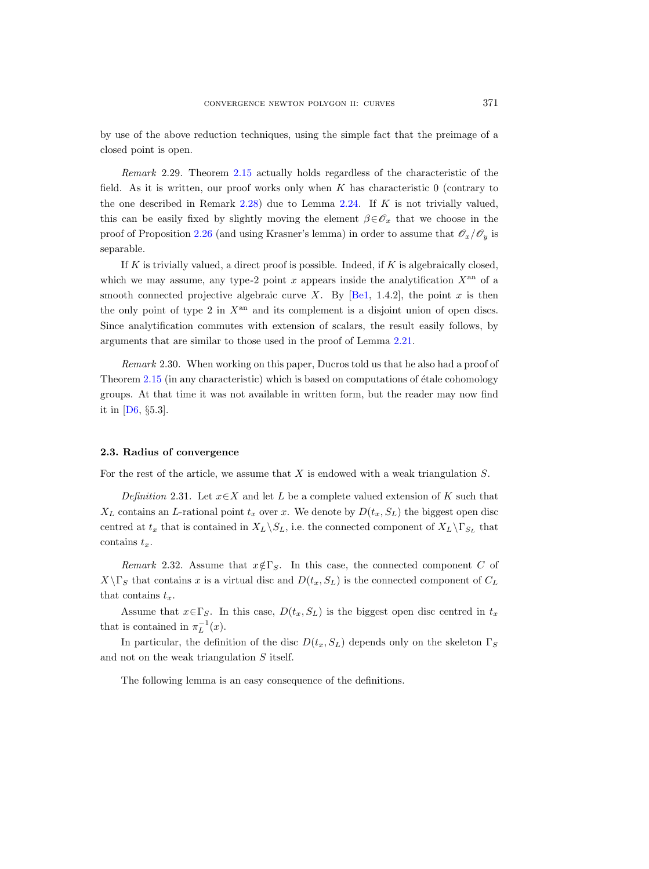by use of the above reduction techniques, using the simple fact that the preimage of a closed point is open.

Remark 2.29. Theorem [2.15](#page-6-0) actually holds regardless of the characteristic of the field. As it is written, our proof works only when  $K$  has characteristic  $0$  (contrary to the one described in Remark [2.28\)](#page-13-1) due to Lemma [2.24.](#page-10-1) If  $K$  is not trivially valued, this can be easily fixed by slightly moving the element  $\beta \in \mathscr{O}_x$  that we choose in the proof of Proposition [2.26](#page-11-0) (and using Krasner's lemma) in order to assume that  $\mathscr{O}_x/\mathscr{O}_y$  is separable.

If  $K$  is trivially valued, a direct proof is possible. Indeed, if  $K$  is algebraically closed, which we may assume, any type-2 point x appears inside the analytification  $X^{\text{an}}$  of a smooth connected projective algebraic curve X. By  $[Be1, 1.4.2]$ , the point x is then the only point of type 2 in  $X^{\text{an}}$  and its complement is a disjoint union of open discs. Since analytification commutes with extension of scalars, the result easily follows, by arguments that are similar to those used in the proof of Lemma [2.21.](#page-9-0)

Remark 2.30. When working on this paper, Ducros told us that he also had a proof of Theorem  $2.15$  (in any characteristic) which is based on computations of  $\acute{e}t$  ale cohomology groups. At that time it was not available in written form, but the reader may now find it in [\[D6,](#page-35-3)  $\S 5.3$ ].

#### <span id="page-14-0"></span>2.3. Radius of convergence

For the rest of the article, we assume that X is endowed with a weak triangulation S.

<span id="page-14-2"></span>Definition 2.31. Let  $x \in X$  and let L be a complete valued extension of K such that  $X_L$  contains an L-rational point  $t_x$  over x. We denote by  $D(t_x, S_L)$  the biggest open disc centred at  $t_x$  that is contained in  $X_L \backslash S_L$ , i.e. the connected component of  $X_L \backslash \Gamma_{S_L}$  that contains  $t_x$ .

<span id="page-14-1"></span>Remark 2.32. Assume that  $x \notin \Gamma_S$ . In this case, the connected component C of  $X\backslash \Gamma_S$  that contains x is a virtual disc and  $D(t_x, S_L)$  is the connected component of  $C_L$ that contains  $t_x$ .

Assume that  $x \in \Gamma_S$ . In this case,  $D(t_x, S_L)$  is the biggest open disc centred in  $t_x$ that is contained in  $\pi_L^{-1}(x)$ .

In particular, the definition of the disc  $D(t_x, S_L)$  depends only on the skeleton  $\Gamma_S$ and not on the weak triangulation S itself.

The following lemma is an easy consequence of the definitions.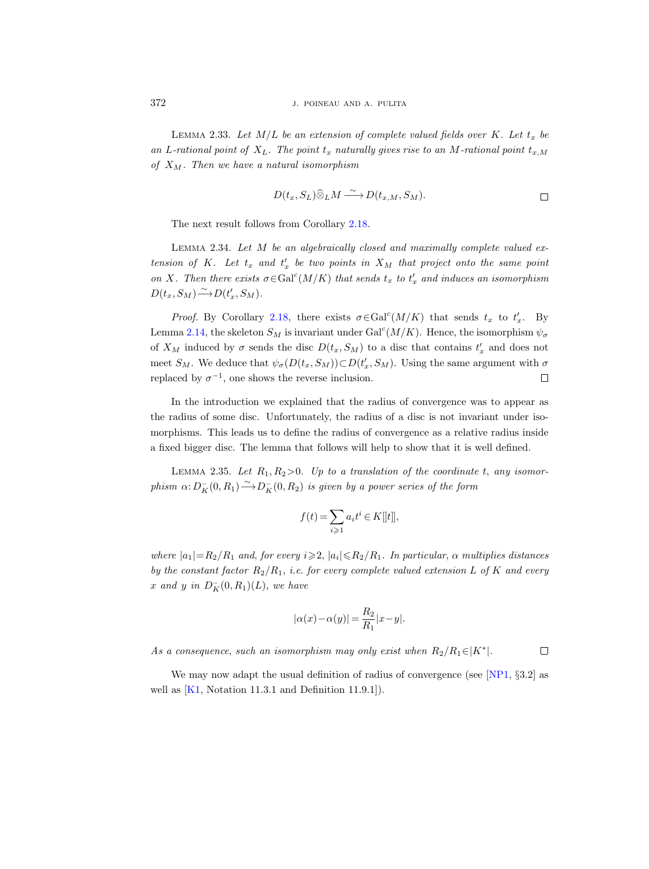LEMMA 2.33. Let  $M/L$  be an extension of complete valued fields over K. Let  $t_x$  be an L-rational point of  $X_L$ . The point  $t_x$  naturally gives rise to an M-rational point  $t_{x,M}$ of  $X_M$ . Then we have a natural isomorphism

$$
D(t_x, S_L) \widehat{\otimes}_L M \xrightarrow{\sim} D(t_{x,M}, S_M).
$$

The next result follows from Corollary [2.18.](#page-8-0)

Lemma 2.34. Let M be an algebraically closed and maximally complete valued extension of K. Let  $t_x$  and  $t'_x$  be two points in  $X_M$  that project onto the same point on X. Then there exists  $\sigma \in \text{Gal}^c(M/K)$  that sends  $t_x$  to  $t'_x$  and induces an isomorphism  $D(t_x, S_M) \longrightarrow D(t'_x, S_M).$ 

*Proof.* By Corollary [2.18,](#page-8-0) there exists  $\sigma \in \text{Gal}^c(M/K)$  that sends  $t_x$  to  $t'_x$ . By Lemma [2.14,](#page-6-1) the skeleton  $S_M$  is invariant under  $Gal<sup>c</sup>(M/K)$ . Hence, the isomorphism  $\psi_{\sigma}$ of  $X_M$  induced by  $\sigma$  sends the disc  $D(t_x, S_M)$  to a disc that contains  $t'_x$  and does not meet  $S_M$ . We deduce that  $\psi_{\sigma}(D(t_x, S_M)) \subset D(t'_x, S_M)$ . Using the same argument with  $\sigma$ replaced by  $\sigma^{-1}$ , one shows the reverse inclusion.  $\Box$ 

In the introduction we explained that the radius of convergence was to appear as the radius of some disc. Unfortunately, the radius of a disc is not invariant under isomorphisms. This leads us to define the radius of convergence as a relative radius inside a fixed bigger disc. The lemma that follows will help to show that it is well defined.

<span id="page-15-1"></span>LEMMA 2.35. Let  $R_1, R_2>0$ . Up to a translation of the coordinate t, any isomorphism  $\alpha: D_K^-(0, R_1) \longrightarrow D_K^-(0, R_2)$  is given by a power series of the form

$$
f(t)=\sum_{i\geqslant 1}a_it^i\in K[[t]],
$$

where  $|a_1|=R_2/R_1$  and, for every  $i \geqslant 2$ ,  $|a_i| \leqslant R_2/R_1$ . In particular,  $\alpha$  multiplies distances by the constant factor  $R_2/R_1$ , i.e. for every complete valued extension L of K and every x and y in  $D_K^-(0, R_1)(L)$ , we have

$$
|\alpha(x)-\alpha(y)| = \frac{R_2}{R_1}|x-y|.
$$

As a consequence, such an isomorphism may only exist when  $R_2/R_1 \in |K^*|$ .

 $\Box$ 

<span id="page-15-0"></span>We may now adapt the usual definition of radius of convergence (see [\[NP1,](#page-36-0)  $\S 3.2$ ] as well as  $[K1, Notation 11.3.1 and Definition 11.9.1].$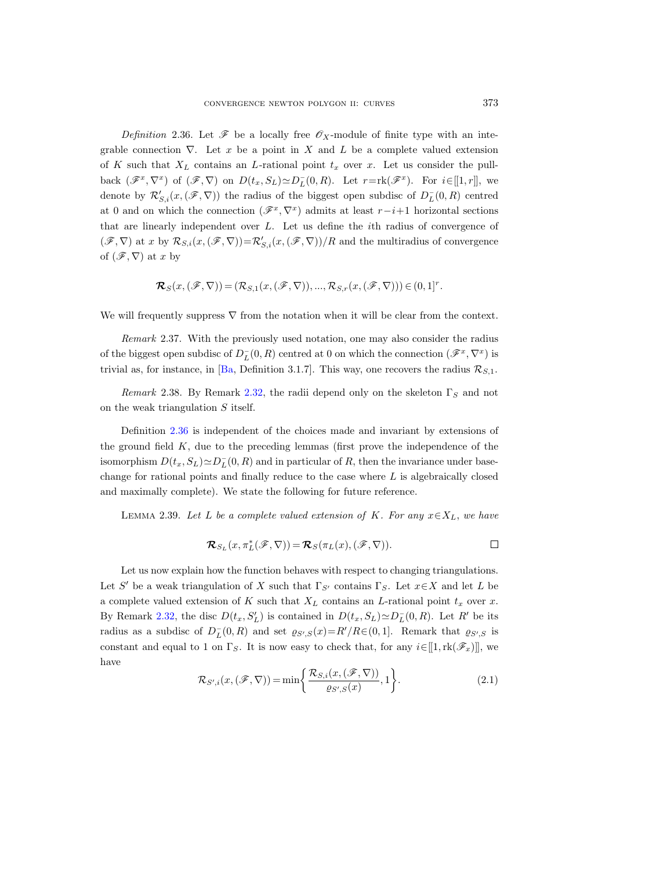Definition 2.36. Let  $\mathscr F$  be a locally free  $\mathscr O_X$ -module of finite type with an integrable connection  $\nabla$ . Let x be a point in X and L be a complete valued extension of K such that  $X_L$  contains an L-rational point  $t_x$  over x. Let us consider the pullback  $(\mathscr{F}^x, \nabla^x)$  of  $(\mathscr{F}, \nabla)$  on  $D(t_x, S_L) \simeq D_L^-(0, R)$ . Let  $r = \text{rk}(\mathscr{F}^x)$ . For  $i \in [[1, r]],$  we denote by  $\mathcal{R}'_{S,i}(x,(\mathscr{F},\nabla))$  the radius of the biggest open subdisc of  $D_L^-(0,R)$  centred at 0 and on which the connection  $(\mathscr{F}^x, \nabla^x)$  admits at least  $r-i+1$  horizontal sections that are linearly independent over L. Let us define the ith radius of convergence of  $(\mathscr{F}, \nabla)$  at x by  $\mathcal{R}_{S,i}(x,(\mathscr{F}, \nabla)) = \mathcal{R}_{S,i}'(x,(\mathscr{F}, \nabla))/R$  and the multiradius of convergence of  $(\mathscr{F}, \nabla)$  at x by

$$
\mathcal{R}_S(x,(\mathscr{F},\nabla))=(\mathcal{R}_{S,1}(x,(\mathscr{F},\nabla)),...,\mathcal{R}_{S,r}(x,(\mathscr{F},\nabla)))\in(0,1]^r.
$$

We will frequently suppress  $\nabla$  from the notation when it will be clear from the context.

<span id="page-16-0"></span>Remark 2.37. With the previously used notation, one may also consider the radius of the biggest open subdisc of  $D_L^-(0, R)$  centred at 0 on which the connection  $(\mathscr{F}^x, \nabla^x)$  is trivial as, for instance, in [\[Ba,](#page-35-0) Definition 3.1.7]. This way, one recovers the radius  $\mathcal{R}_{S,1}$ .

<span id="page-16-1"></span>Remark 2.38. By Remark [2.32,](#page-14-1) the radii depend only on the skeleton  $\Gamma_S$  and not on the weak triangulation S itself.

Definition [2.36](#page-15-0) is independent of the choices made and invariant by extensions of the ground field K, due to the preceding lemmas (first prove the independence of the isomorphism  $D(t_x, S_L) \simeq D_L^-(0, R)$  and in particular of R, then the invariance under basechange for rational points and finally reduce to the case where L is algebraically closed and maximally complete). We state the following for future reference.

<span id="page-16-3"></span>LEMMA 2.39. Let L be a complete valued extension of K. For any  $x \in X_L$ , we have

$$
\mathcal{R}_{S_L}(x,\pi_L^*(\mathscr{F},\nabla))=\mathcal{R}_S(\pi_L(x),(\mathscr{F},\nabla)).
$$

Let us now explain how the function behaves with respect to changing triangulations. Let S' be a weak triangulation of X such that  $\Gamma_{S'}$  contains  $\Gamma_S$ . Let  $x \in X$  and let L be a complete valued extension of K such that  $X_L$  contains an L-rational point  $t_x$  over x. By Remark [2.32,](#page-14-1) the disc  $D(t_x, S'_L)$  is contained in  $D(t_x, S_L) \simeq D_L^-(0, R)$ . Let R' be its radius as a subdisc of  $D_L^-(0, R)$  and set  $\varrho_{S',S}(x) = R'/R \in (0, 1]$ . Remark that  $\varrho_{S',S}$  is constant and equal to 1 on  $\Gamma_S$ . It is now easy to check that, for any  $i\in[[1,\mathrm{rk}(\mathscr{F}_x)]]$ , we have

<span id="page-16-2"></span>
$$
\mathcal{R}_{S',i}(x,(\mathscr{F},\nabla)) = \min\bigg\{\frac{\mathcal{R}_{S,i}(x,(\mathscr{F},\nabla))}{\varrho_{S',S}(x)},1\bigg\}.
$$
\n(2.1)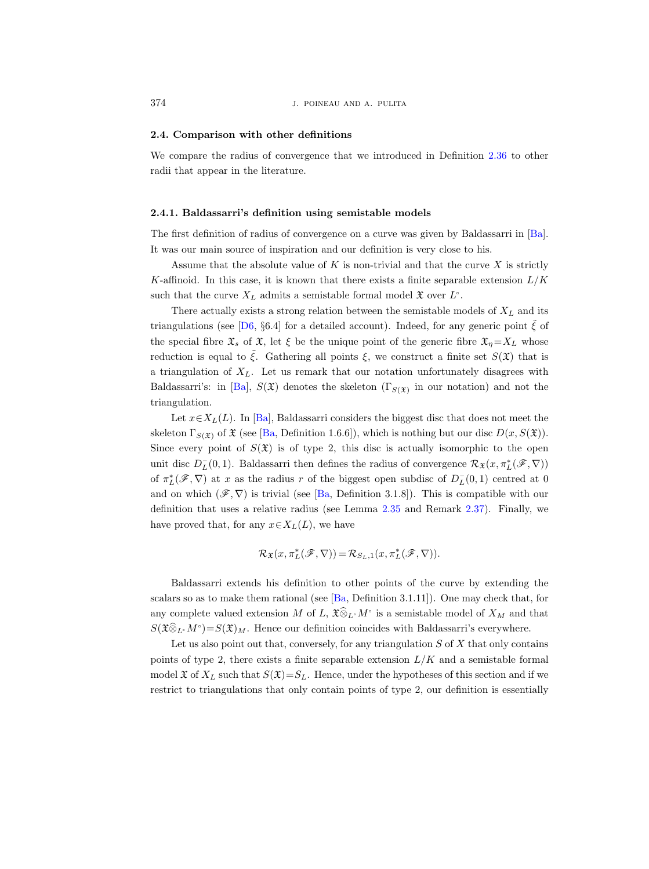## 2.4. Comparison with other definitions

We compare the radius of convergence that we introduced in Definition [2.36](#page-15-0) to other radii that appear in the literature.

#### <span id="page-17-0"></span>2.4.1. Baldassarri's definition using semistable models

The first definition of radius of convergence on a curve was given by Baldassarri in [\[Ba\]](#page-35-0). It was our main source of inspiration and our definition is very close to his.

Assume that the absolute value of  $K$  is non-trivial and that the curve  $X$  is strictly K-affinoid. In this case, it is known that there exists a finite separable extension  $L/K$ such that the curve  $X_L$  admits a semistable formal model  $\mathfrak X$  over  $L^{\circ}$ .

There actually exists a strong relation between the semistable models of  $X_L$  and its triangulations (see [\[D6,](#page-35-3) §6.4] for a detailed account). Indeed, for any generic point  $\zeta$  of the special fibre  $\mathfrak{X}_s$  of  $\mathfrak{X}_s$ , let  $\xi$  be the unique point of the generic fibre  $\mathfrak{X}_\eta = X_L$  whose reduction is equal to  $\tilde{\xi}$ . Gathering all points  $\xi$ , we construct a finite set  $S(\mathfrak{X})$  that is a triangulation of  $X_L$ . Let us remark that our notation unfortunately disagrees with Baldassarri's: in [\[Ba\]](#page-35-0),  $S(\mathfrak{X})$  denotes the skeleton  $(\Gamma_{S(\mathfrak{X})})$  in our notation) and not the triangulation.

Let  $x \in X_L(L)$ . In [\[Ba\]](#page-35-0), Baldassarri considers the biggest disc that does not meet the skeleton  $\Gamma_{S(\mathfrak{X})}$  of  $\mathfrak{X}$  (see [\[Ba,](#page-35-0) Definition 1.6.6]), which is nothing but our disc  $D(x, S(\mathfrak{X}))$ . Since every point of  $S(\mathfrak{X})$  is of type 2, this disc is actually isomorphic to the open unit disc  $D_L^-(0,1)$ . Baldassarri then defines the radius of convergence  $\mathcal{R}_{\mathfrak{X}}(x, \pi_L^*(\mathscr{F}, \nabla))$ of  $\pi_L^*(\mathscr{F}, \nabla)$  at x as the radius r of the biggest open subdisc of  $D_L^-(0,1)$  centred at 0 and on which  $(\mathscr{F}, \nabla)$  is trivial (see [\[Ba,](#page-35-0) Definition 3.1.8]). This is compatible with our definition that uses a relative radius (see Lemma [2.35](#page-15-1) and Remark [2.37\)](#page-16-0). Finally, we have proved that, for any  $x \in X_L(L)$ , we have

$$
\mathcal{R}_{\mathfrak{X}}(x, \pi_L^*(\mathscr{F}, \nabla)) = \mathcal{R}_{S_L, 1}(x, \pi_L^*(\mathscr{F}, \nabla)).
$$

Baldassarri extends his definition to other points of the curve by extending the scalars so as to make them rational (see [\[Ba,](#page-35-0) Definition 3.1.11]). One may check that, for any complete valued extension M of L,  $\mathfrak{X} \widehat{\otimes}_L M$ ° is a semistable model of  $X_M$  and that  $S(\mathfrak{X}\widehat{\otimes}_{L^\circ}M^\circ){=}S(\mathfrak{X})_M$ . Hence our definition coincides with Baldassarri's everywhere.

Let us also point out that, conversely, for any triangulation  $S$  of  $X$  that only contains points of type 2, there exists a finite separable extension  $L/K$  and a semistable formal model  $\mathfrak{X}$  of  $X_L$  such that  $S(\mathfrak{X})=S_L$ . Hence, under the hypotheses of this section and if we restrict to triangulations that only contain points of type 2, our definition is essentially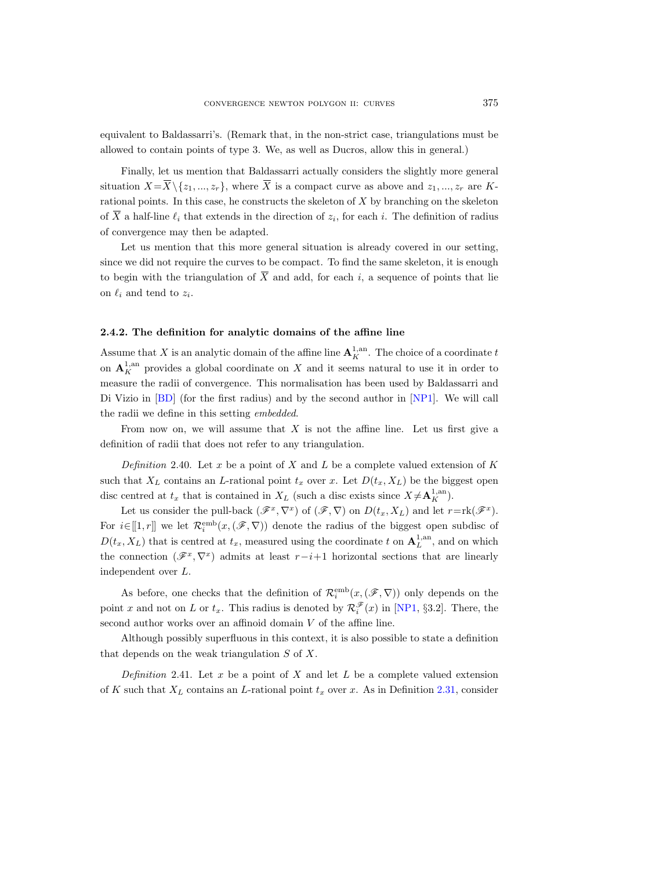equivalent to Baldassarri's. (Remark that, in the non-strict case, triangulations must be allowed to contain points of type 3. We, as well as Ducros, allow this in general.)

Finally, let us mention that Baldassarri actually considers the slightly more general situation  $X = \overline{X} \setminus \{z_1, ..., z_r\}$ , where  $\overline{X}$  is a compact curve as above and  $z_1, ..., z_r$  are Krational points. In this case, he constructs the skeleton of  $X$  by branching on the skeleton of  $\overline{X}$  a half-line  $\ell_i$  that extends in the direction of  $z_i$ , for each i. The definition of radius of convergence may then be adapted.

Let us mention that this more general situation is already covered in our setting, since we did not require the curves to be compact. To find the same skeleton, it is enough to begin with the triangulation of  $\overline{X}$  and add, for each i, a sequence of points that lie on  $\ell_i$  and tend to  $z_i$ .

## 2.4.2. The definition for analytic domains of the affine line

Assume that X is an analytic domain of the affine line  $\mathbf{A}_K^{1,\text{an}}$ . The choice of a coordinate t on  $\mathbf{A}^{1, \text{an}}_K$  provides a global coordinate on X and it seems natural to use it in order to measure the radii of convergence. This normalisation has been used by Baldassarri and Di Vizio in [\[BD\]](#page-35-2) (for the first radius) and by the second author in [\[NP1\]](#page-36-0). We will call the radii we define in this setting embedded.

From now on, we will assume that  $X$  is not the affine line. Let us first give a definition of radii that does not refer to any triangulation.

Definition 2.40. Let x be a point of X and L be a complete valued extension of K such that  $X_L$  contains an L-rational point  $t_x$  over x. Let  $D(t_x, X_L)$  be the biggest open disc centred at  $t_x$  that is contained in  $X_L$  (such a disc exists since  $X \neq \mathbf{A}_K^{1,\text{an}}$ ).

Let us consider the pull-back  $(\mathscr{F}^x, \nabla^x)$  of  $(\mathscr{F}, \nabla)$  on  $D(t_x, X_L)$  and let  $r = \text{rk}(\mathscr{F}^x)$ . For  $i \in [[1, r]]$  we let  $\mathcal{R}_i^{\text{emb}}(x, (\mathscr{F}, \nabla))$  denote the radius of the biggest open subdisc of  $D(t_x, X_L)$  that is centred at  $t_x$ , measured using the coordinate t on  $\mathbf{A}_L^{1, \text{an}}$ , and on which the connection  $(\mathscr{F}^x, \nabla^x)$  admits at least  $r-i+1$  horizontal sections that are linearly independent over L.

As before, one checks that the definition of  $\mathcal{R}_i^{\text{emb}}(x,(\mathscr{F},\nabla))$  only depends on the point x and not on L or  $t_x$ . This radius is denoted by  $\mathcal{R}_i^{\mathscr{F}}(x)$  in [\[NP1,](#page-36-0) §3.2]. There, the second author works over an affinoid domain  $V$  of the affine line.

Although possibly superfluous in this context, it is also possible to state a definition that depends on the weak triangulation  $S$  of  $X$ .

Definition 2.41. Let  $x$  be a point of  $X$  and let  $L$  be a complete valued extension of K such that  $X_L$  contains an L-rational point  $t_x$  over x. As in Definition [2.31,](#page-14-2) consider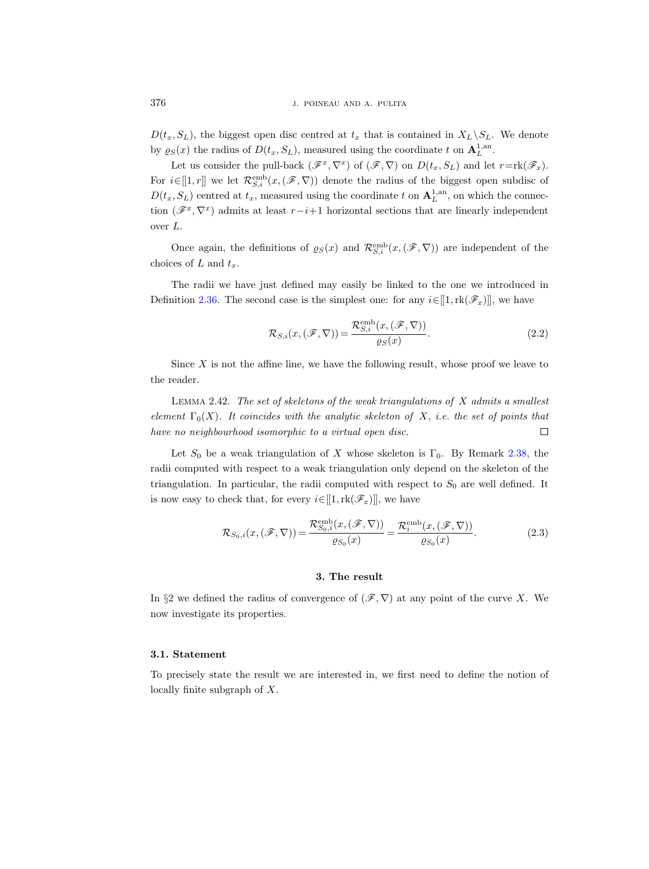$D(t_x, S_L)$ , the biggest open disc centred at  $t_x$  that is contained in  $X_L\backslash S_L$ . We denote by  $\varrho_S(x)$  the radius of  $D(t_x, S_L)$ , measured using the coordinate t on  $\mathbf{A}_L^{1, \text{an}}$ .

Let us consider the pull-back  $(\mathscr{F}^x, \nabla^x)$  of  $(\mathscr{F}, \nabla)$  on  $D(t_x, S_L)$  and let  $r = \text{rk}(\mathscr{F}_x)$ . For  $i\in[1,r]$  we let  $\mathcal{R}^{\text{emb}}_{S,i}(x,(\mathscr{F},\nabla))$  denote the radius of the biggest open subdisc of  $D(t_x, S_L)$  centred at  $t_x$ , measured using the coordinate t on  $\mathbf{A}_L^{1, \text{an}}$ , on which the connection  $(\mathscr{F}^x, \nabla^x)$  admits at least  $r-i+1$  horizontal sections that are linearly independent over L.

Once again, the definitions of  $\varrho_S(x)$  and  $\mathcal{R}_{S,i}^{\text{emb}}(x,(\mathscr{F},\nabla))$  are independent of the choices of L and  $t_x$ .

The radii we have just defined may easily be linked to the one we introduced in Definition [2.36.](#page-15-0) The second case is the simplest one: for any  $i \in [1, \text{rk}(\mathscr{F}_x)]$ , we have

$$
\mathcal{R}_{S,i}(x,(\mathscr{F},\nabla)) = \frac{\mathcal{R}_{S,i}^{\text{emb}}(x,(\mathscr{F},\nabla))}{\varrho_S(x)}.
$$
\n(2.2)

Since  $X$  is not the affine line, we have the following result, whose proof we leave to the reader.

LEMMA 2.42. The set of skeletons of the weak triangulations of  $X$  admits a smallest element  $\Gamma_0(X)$ . It coincides with the analytic skeleton of X, i.e. the set of points that have no neighbourhood isomorphic to a virtual open disc.  $\Box$ 

Let  $S_0$  be a weak triangulation of X whose skeleton is  $\Gamma_0$ . By Remark [2.38,](#page-16-1) the radii computed with respect to a weak triangulation only depend on the skeleton of the triangulation. In particular, the radii computed with respect to  $S_0$  are well defined. It is now easy to check that, for every  $i \in [[1, \text{rk}(\mathscr{F}_x)]]$ , we have

$$
\mathcal{R}_{S_0,i}(x,(\mathscr{F},\nabla)) = \frac{\mathcal{R}_{S_0,i}^{\text{emb}}(x,(\mathscr{F},\nabla))}{\varrho_{S_0}(x)} = \frac{\mathcal{R}_i^{\text{emb}}(x,(\mathscr{F},\nabla))}{\varrho_{S_0}(x)}.
$$
\n(2.3)

## 3. The result

<span id="page-19-0"></span>In §2 we defined the radius of convergence of  $(\mathscr{F}, \nabla)$  at any point of the curve X. We now investigate its properties.

#### 3.1. Statement

To precisely state the result we are interested in, we first need to define the notion of locally finite subgraph of X.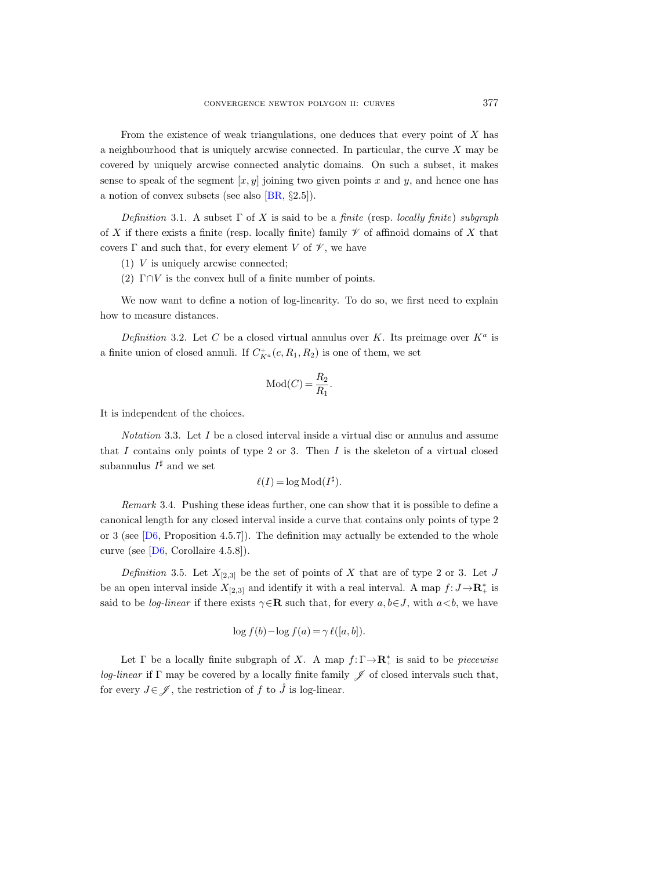From the existence of weak triangulations, one deduces that every point of  $X$  has a neighbourhood that is uniquely arcwise connected. In particular, the curve X may be covered by uniquely arcwise connected analytic domains. On such a subset, it makes sense to speak of the segment  $[x, y]$  joining two given points x and y, and hence one has a notion of convex subsets (see also [\[BR,](#page-35-15) §2.5]).

Definition 3.1. A subset  $\Gamma$  of X is said to be a finite (resp. locally finite) subgraph of X if there exists a finite (resp. locally finite) family  $\mathscr V$  of affinoid domains of X that covers  $\Gamma$  and such that, for every element V of  $\mathscr V$ , we have

- (1) V is uniquely arcwise connected;
- (2)  $\Gamma \cap V$  is the convex hull of a finite number of points.

We now want to define a notion of log-linearity. To do so, we first need to explain how to measure distances.

Definition 3.2. Let C be a closed virtual annulus over K. Its preimage over  $K^a$  is a finite union of closed annuli. If  $C_{K^a}^+(c, R_1, R_2)$  is one of them, we set

$$
Mod(C) = \frac{R_2}{R_1}.
$$

It is independent of the choices.

*Notation* 3.3. Let  $I$  be a closed interval inside a virtual disc or annulus and assume that I contains only points of type 2 or 3. Then I is the skeleton of a virtual closed subannulus  $I^{\sharp}$  and we set

$$
\ell(I) = \log Mod(I^{\sharp}).
$$

Remark 3.4. Pushing these ideas further, one can show that it is possible to define a canonical length for any closed interval inside a curve that contains only points of type 2 or 3 (see  $[D6,$  Proposition 4.5.7). The definition may actually be extended to the whole curve (see [\[D6,](#page-35-3) Corollaire 4.5.8]).

Definition 3.5. Let  $X_{[2,3]}$  be the set of points of X that are of type 2 or 3. Let J be an open interval inside  $X_{[2,3]}$  and identify it with a real interval. A map  $f: J \rightarrow \mathbb{R}^*_+$  is said to be *log-linear* if there exists  $\gamma \in \mathbb{R}$  such that, for every  $a, b \in J$ , with  $a < b$ , we have

$$
\log f(b) - \log f(a) = \gamma \ell([a, b]).
$$

Let  $\Gamma$  be a locally finite subgraph of X. A map  $f: \Gamma \to \mathbb{R}_+^*$  is said to be *piecewise log-linear* if Γ may be covered by a locally finite family  $\mathscr J$  of closed intervals such that, for every  $J \in \mathscr{J}$ , the restriction of f to  $\mathring{J}$  is log-linear.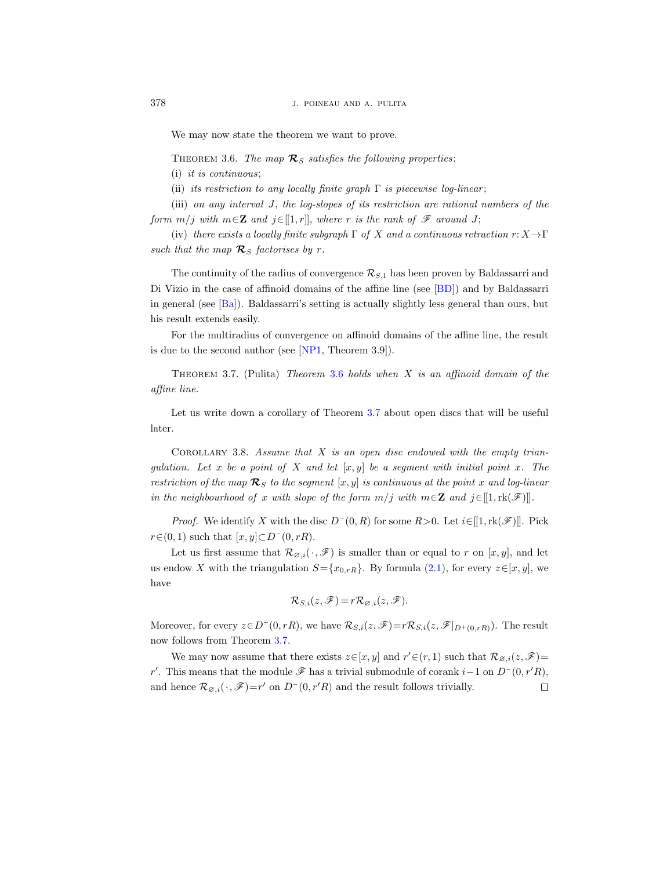We may now state the theorem we want to prove.

<span id="page-21-0"></span>THEOREM 3.6. The map  $\mathcal{R}_S$  satisfies the following properties:

(i) it is continuous;

(ii) its restriction to any locally finite graph  $\Gamma$  is piecewise log-linear;

(iii) on any interval J, the log-slopes of its restriction are rational numbers of the form  $m/j$  with  $m \in \mathbb{Z}$  and  $j \in [[1, r]],$  where r is the rank of  $\mathscr{F}$  around J;

(iv) there exists a locally finite subgraph  $\Gamma$  of X and a continuous retraction  $r: X \to \Gamma$ such that the map  $\mathcal{R}_S$  factorises by r.

The continuity of the radius of convergence  $\mathcal{R}_{S,1}$  has been proven by Baldassarri and Di Vizio in the case of affinoid domains of the affine line (see [\[BD\]](#page-35-2)) and by Baldassarri in general (see [\[Ba\]](#page-35-0)). Baldassarri's setting is actually slightly less general than ours, but his result extends easily.

For the multiradius of convergence on affinoid domains of the affine line, the result is due to the second author (see [\[NP1,](#page-36-0) Theorem 3.9]).

<span id="page-21-1"></span>THEOREM 3.7. (Pulita) Theorem [3.6](#page-21-0) holds when  $X$  is an affinoid domain of the affine line.

Let us write down a corollary of Theorem [3.7](#page-21-1) about open discs that will be useful later.

<span id="page-21-2"></span>COROLLARY 3.8. Assume that  $X$  is an open disc endowed with the empty triangulation. Let x be a point of X and let  $[x, y]$  be a segment with initial point x. The restriction of the map  $\mathcal{R}_S$  to the segment  $[x, y]$  is continuous at the point x and log-linear in the neighbourhood of x with slope of the form  $m/j$  with  $m \in \mathbb{Z}$  and  $j \in [[1,\mathrm{rk}(\mathscr{F})]]$ .

*Proof.* We identify X with the disc  $D^-(0, R)$  for some  $R > 0$ . Let  $i \in [1, \text{rk}(\mathscr{F})]$ . Pick  $r \in (0, 1)$  such that  $[x, y] \subset D^-(0, rR)$ .

Let us first assume that  $\mathcal{R}_{\varnothing,i}(\cdot,\mathscr{F})$  is smaller than or equal to r on  $[x,y]$ , and let us endow X with the triangulation  $S = \{x_{0,rR}\}.$  By formula [\(2.1\)](#page-16-2), for every  $z \in [x, y]$ , we have

$$
\mathcal{R}_{S,i}(z,\mathscr{F})=r\mathcal{R}_{\varnothing,i}(z,\mathscr{F}).
$$

Moreover, for every  $z \in D^+(0,rR)$ , we have  $\mathcal{R}_{S,i}(z,\mathscr{F})=r\mathcal{R}_{S,i}(z,\mathscr{F}|_{D^+(0,rR)})$ . The result now follows from Theorem [3.7.](#page-21-1)

We may now assume that there exists  $z \in [x, y]$  and  $r' \in (r, 1)$  such that  $\mathcal{R}_{\varnothing, i}(z, \mathscr{F})$ r'. This means that the module  $\mathscr F$  has a trivial submodule of corank  $i-1$  on  $D^-(0,r'R)$ , and hence  $\mathcal{R}_{\emptyset,i}(\cdot,\mathscr{F})=r'$  on  $D^-(0,r'R)$  and the result follows trivially.  $\Box$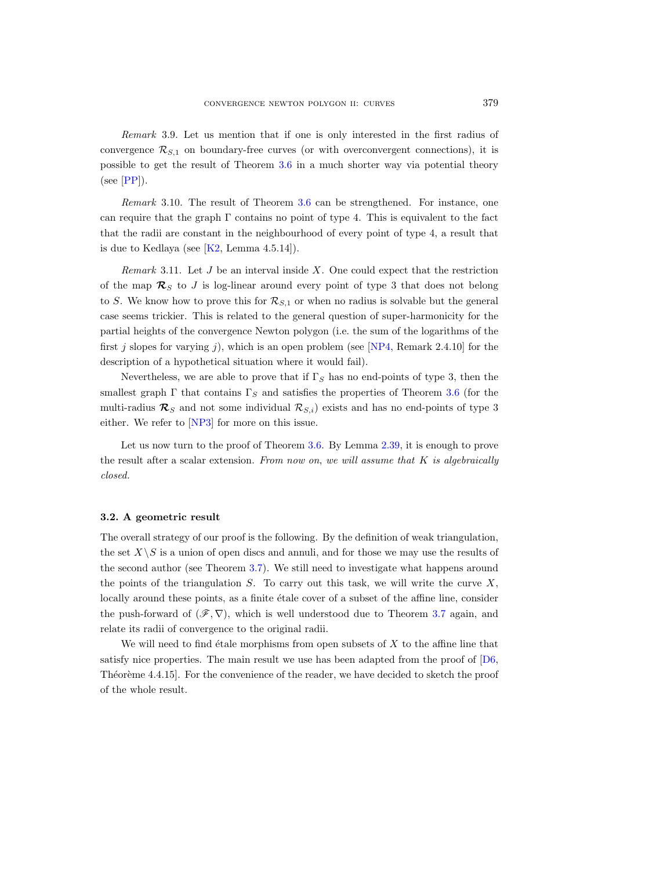Remark 3.9. Let us mention that if one is only interested in the first radius of convergence  $\mathcal{R}_{S,1}$  on boundary-free curves (or with overconvergent connections), it is possible to get the result of Theorem [3.6](#page-21-0) in a much shorter way via potential theory  $(see [PP]).$  $(see [PP]).$  $(see [PP]).$ 

Remark 3.10. The result of Theorem [3.6](#page-21-0) can be strengthened. For instance, one can require that the graph  $\Gamma$  contains no point of type 4. This is equivalent to the fact that the radii are constant in the neighbourhood of every point of type 4, a result that is due to Kedlaya (see  $[K2, \text{ Lemma } 4.5.14]$ ).

Remark 3.11. Let  $J$  be an interval inside  $X$ . One could expect that the restriction of the map  $\mathcal{R}_S$  to J is log-linear around every point of type 3 that does not belong to S. We know how to prove this for  $\mathcal{R}_{S,1}$  or when no radius is solvable but the general case seems trickier. This is related to the general question of super-harmonicity for the partial heights of the convergence Newton polygon (i.e. the sum of the logarithms of the first j slopes for varying j), which is an open problem (see [\[NP4,](#page-36-2) Remark 2.4.10] for the description of a hypothetical situation where it would fail).

Nevertheless, we are able to prove that if  $\Gamma_S$  has no end-points of type 3, then the smallest graph  $\Gamma$  that contains  $\Gamma_S$  and satisfies the properties of Theorem [3.6](#page-21-0) (for the multi-radius  $\mathcal{R}_S$  and not some individual  $\mathcal{R}_{S,i}$ ) exists and has no end-points of type 3 either. We refer to [\[NP3\]](#page-36-1) for more on this issue.

Let us now turn to the proof of Theorem [3.6.](#page-21-0) By Lemma [2.39,](#page-16-3) it is enough to prove the result after a scalar extension. From now on, we will assume that  $K$  is algebraically closed.

## <span id="page-22-0"></span>3.2. A geometric result

The overall strategy of our proof is the following. By the definition of weak triangulation, the set  $X\setminus S$  is a union of open discs and annuli, and for those we may use the results of the second author (see Theorem [3.7\)](#page-21-1). We still need to investigate what happens around the points of the triangulation  $S$ . To carry out this task, we will write the curve  $X$ , locally around these points, as a finite étale cover of a subset of the affine line, consider the push-forward of  $(\mathscr{F}, \nabla)$ , which is well understood due to Theorem [3.7](#page-21-1) again, and relate its radii of convergence to the original radii.

We will need to find étale morphisms from open subsets of  $X$  to the affine line that satisfy nice properties. The main result we use has been adapted from the proof of  $[D6]$ , Théorème 4.4.15]. For the convenience of the reader, we have decided to sketch the proof of the whole result.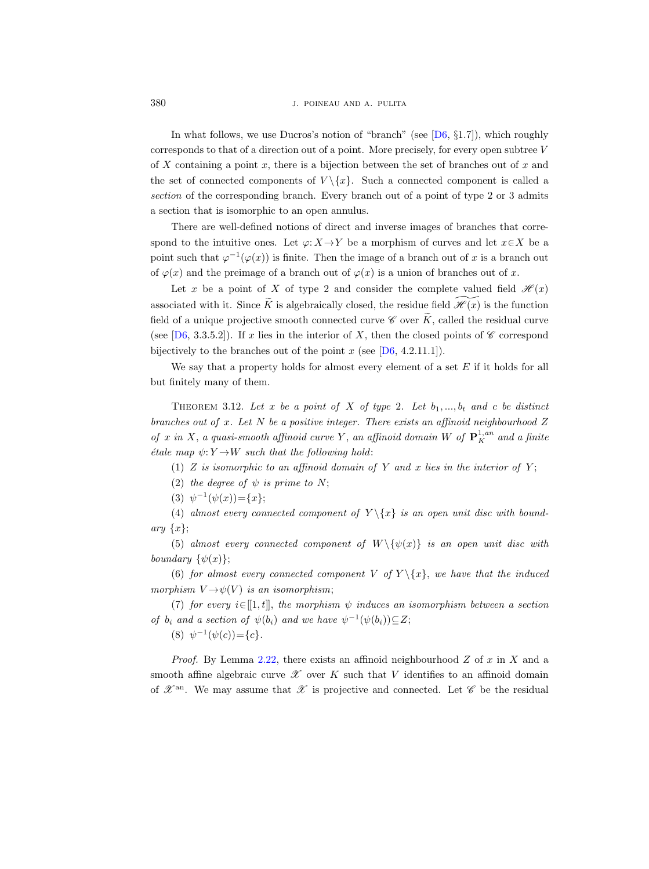380 J. POINEAU AND A. PULITA

In what follows, we use Ducros's notion of "branch" (see  $[D6, §1.7]$ ), which roughly corresponds to that of a direction out of a point. More precisely, for every open subtree  $V$ of X containing a point x, there is a bijection between the set of branches out of x and the set of connected components of  $V \setminus \{x\}$ . Such a connected component is called a section of the corresponding branch. Every branch out of a point of type 2 or 3 admits a section that is isomorphic to an open annulus.

There are well-defined notions of direct and inverse images of branches that correspond to the intuitive ones. Let  $\varphi: X \to Y$  be a morphism of curves and let  $x \in X$  be a point such that  $\varphi^{-1}(\varphi(x))$  is finite. Then the image of a branch out of x is a branch out of  $\varphi(x)$  and the preimage of a branch out of  $\varphi(x)$  is a union of branches out of x.

Let x be a point of X of type 2 and consider the complete valued field  $\mathcal{H}(x)$ associated with it. Since  $\tilde{K}$  is algebraically closed, the residue field  $\mathcal{H}(x)$  is the function field of a unique projective smooth connected curve  $\mathscr C$  over  $\widetilde K$ , called the residual curve (see [\[D6,](#page-35-3) 3.3.5.2]). If x lies in the interior of X, then the closed points of  $\mathscr C$  correspond bijectively to the branches out of the point x (see  $[D6, 4.2.11.1]$ ).

We say that a property holds for almost every element of a set  $E$  if it holds for all but finitely many of them.

<span id="page-23-0"></span>THEOREM 3.12. Let x be a point of X of type 2. Let  $b_1, ..., b_t$  and c be distinct branches out of  $x$ . Let  $N$  be a positive integer. There exists an affinoid neighbourhood  $Z$ of x in X, a quasi-smooth affinoid curve Y, an affinoid domain W of  $\mathbf{P}^{1, an}_K$  and a finite *étale map*  $\psi: Y \rightarrow W$  *such that the following hold:* 

(1) Z is isomorphic to an affinoid domain of Y and x lies in the interior of Y;

(2) the degree of  $\psi$  is prime to N;

(3)  $\psi^{-1}(\psi(x)) = \{x\};$ 

(4) almost every connected component of  $Y \setminus \{x\}$  is an open unit disc with boundary  $\{x\}$ ;

(5) almost every connected component of  $W \setminus {\psi(x)}$  is an open unit disc with boundary  $\{\psi(x)\};$ 

(6) for almost every connected component V of  $Y \setminus \{x\}$ , we have that the induced morphism  $V \rightarrow \psi(V)$  is an isomorphism;

(7) for every  $i \in [[1, t]],$  the morphism  $\psi$  induces an isomorphism between a section of  $b_i$  and a section of  $\psi(b_i)$  and we have  $\psi^{-1}(\psi(b_i)) \subseteq Z$ ;

(8)  $\psi^{-1}(\psi(c)) = \{c\}.$ 

*Proof.* By Lemma [2.22,](#page-10-0) there exists an affinoid neighbourhood  $Z$  of  $x$  in  $X$  and a smooth affine algebraic curve  $\mathscr X$  over K such that V identifies to an affinoid domain of  $\mathscr{X}^{\text{an}}$ . We may assume that  $\mathscr{X}$  is projective and connected. Let  $\mathscr{C}$  be the residual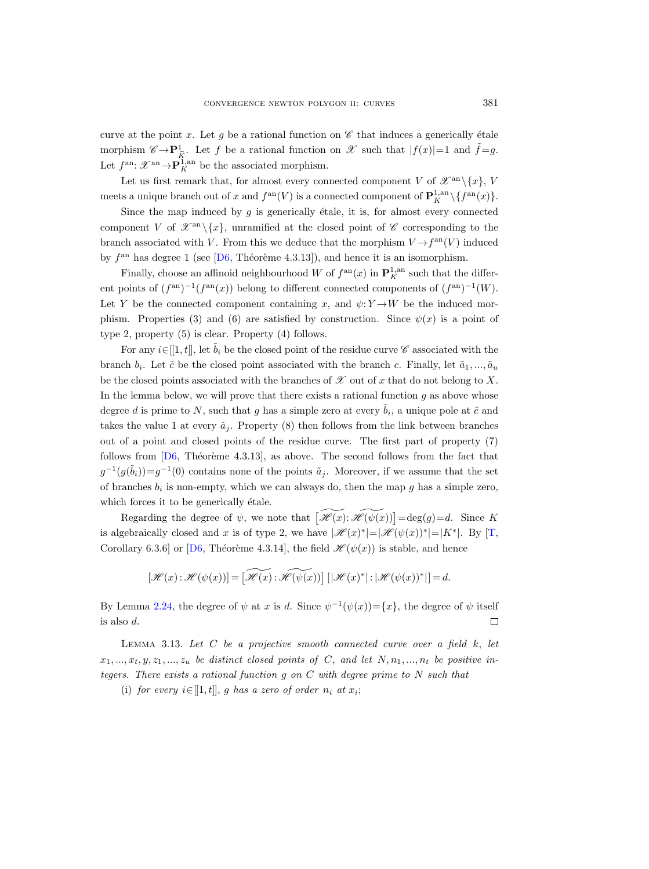curve at the point x. Let g be a rational function on  $\mathscr C$  that induces a generically étale morphism  $\mathscr{C} \to \mathbf{P}^1_{\tilde{K}}$ . Let f be a rational function on  $\mathscr{X}$  such that  $|f(x)|=1$  and  $\tilde{f}=g$ . Let  $f^{\text{an}}$ :  $\mathscr{X}^{\text{an}} \rightarrow \mathbf{P}_{K}^{1,\text{an}}$  be the associated morphism.

Let us first remark that, for almost every connected component V of  $\mathscr{X}^{\rm an}\setminus\{x\}$ , V meets a unique branch out of x and  $f^{\text{an}}(V)$  is a connected component of  $\mathbf{P}_{K}^{1,\text{an}}\setminus\{f^{\text{an}}(x)\}.$ 

Since the map induced by q is generically étale, it is, for almost every connected component V of  $\mathscr{X}^{\rm an}\setminus\{x\}$ , unramified at the closed point of  $\mathscr C$  corresponding to the branch associated with V. From this we deduce that the morphism  $V \rightarrow f^{\text{an}}(V)$  induced by  $f<sup>an</sup>$  has degree 1 (see [\[D6,](#page-35-3) Théorème 4.3.13]), and hence it is an isomorphism.

Finally, choose an affinoid neighbourhood W of  $f^{\text{an}}(x)$  in  $\mathbf{P}^{1,\text{an}}_K$  such that the different points of  $(f^{an})^{-1}(f^{an}(x))$  belong to different connected components of  $(f^{an})^{-1}(W)$ . Let Y be the connected component containing x, and  $\psi: Y \to W$  be the induced morphism. Properties (3) and (6) are satisfied by construction. Since  $\psi(x)$  is a point of type 2, property (5) is clear. Property (4) follows.

For any  $i\in[1,t]$ , let  $\tilde{b}_i$  be the closed point of the residue curve  $\mathscr C$  associated with the branch  $b_i$ . Let  $\tilde{c}$  be the closed point associated with the branch c. Finally, let  $\tilde{a}_1, ..., \tilde{a}_u$ be the closed points associated with the branches of  $\mathscr X$  out of x that do not belong to X. In the lemma below, we will prove that there exists a rational function  $g$  as above whose degree d is prime to N, such that g has a simple zero at every  $\tilde{b}_i$ , a unique pole at  $\tilde{c}$  and takes the value 1 at every  $\tilde{a}_j$ . Property (8) then follows from the link between branches out of a point and closed points of the residue curve. The first part of property (7) follows from  $[D6, Th$  eoreme 4.3.13], as above. The second follows from the fact that  $g^{-1}(g(\tilde{b}_i))=g^{-1}(0)$  contains none of the points  $\tilde{a}_j$ . Moreover, if we assume that the set of branches  $b_i$  is non-empty, which we can always do, then the map g has a simple zero, which forces it to be generically étale.

Regarding the degree of  $\psi$ , we note that  $\widetilde{H(x)}:\widetilde{H(\psi(x))}]=\deg(g)=d$ . Since K is algebraically closed and x is of type 2, we have  $|\mathscr{H}(x)^*|=|\mathscr{H}(\psi(x))^*|=|K^*|$ . By [\[T,](#page-36-7) Corollary 6.3.6] or [\[D6,](#page-35-3) Théorème 4.3.14], the field  $\mathcal{H}(\psi(x))$  is stable, and hence

$$
[\mathscr{H}(x):\mathscr{H}(\psi(x))]=\left[\widetilde{\mathscr{H}(x)}:\widetilde{\mathscr{H}(\psi(x))}\right][|\mathscr{H}(x)^*|\cdot|\mathscr{H}(\psi(x))^*|]=d.
$$

By Lemma [2.24,](#page-10-1) the degree of  $\psi$  at x is d. Since  $\psi^{-1}(\psi(x)) = \{x\}$ , the degree of  $\psi$  itself is also d.  $\Box$ 

LEMMA 3.13. Let  $C$  be a projective smooth connected curve over a field  $k$ , let  $x_1, \ldots, x_t, y, z_1, \ldots, z_u$  be distinct closed points of C, and let  $N, n_1, \ldots, n_t$  be positive integers. There exists a rational function g on C with degree prime to N such that

(i) for every  $i \in [[1, t]], g$  has a zero of order  $n_i$  at  $x_i$ ;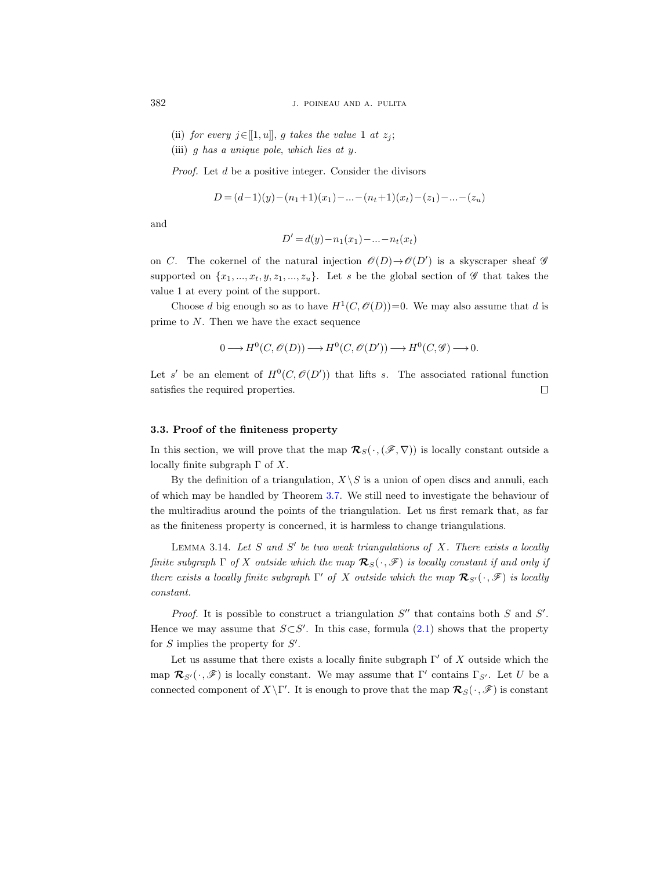- (ii) for every  $j \in [[1, u]], g$  takes the value 1 at  $z_j$ ;
- (iii) g has a unique pole, which lies at y.

Proof. Let d be a positive integer. Consider the divisors

$$
D = (d-1)(y) - (n_1+1)(x_1) - \dots - (n_t+1)(x_t) - (z_1) - \dots - (z_u)
$$

and

$$
D' = d(y) - n_1(x_1) - \dots - n_t(x_t)
$$

on C. The cokernel of the natural injection  $\mathscr{O}(D) \rightarrow \mathscr{O}(D')$  is a skyscraper sheaf  $\mathscr{G}$ supported on  $\{x_1, ..., x_t, y, z_1, ..., z_u\}$ . Let s be the global section of  $\mathscr G$  that takes the value 1 at every point of the support.

Choose d big enough so as to have  $H^1(C, \mathcal{O}(D))=0$ . We may also assume that d is prime to N. Then we have the exact sequence

$$
0 \longrightarrow H^0(C, \mathcal{O}(D)) \longrightarrow H^0(C, \mathcal{O}(D')) \longrightarrow H^0(C, \mathcal{G}) \longrightarrow 0.
$$

Let s' be an element of  $H^0(C, \mathcal{O}(D'))$  that lifts s. The associated rational function satisfies the required properties.  $\Box$ 

#### <span id="page-25-1"></span>3.3. Proof of the finiteness property

In this section, we will prove that the map  $\mathcal{R}_{S}(\cdot,(\mathscr{F},\nabla))$  is locally constant outside a locally finite subgraph  $\Gamma$  of X.

By the definition of a triangulation,  $X\backslash S$  is a union of open discs and annuli, each of which may be handled by Theorem [3.7.](#page-21-1) We still need to investigate the behaviour of the multiradius around the points of the triangulation. Let us first remark that, as far as the finiteness property is concerned, it is harmless to change triangulations.

<span id="page-25-0"></span>LEMMA 3.14. Let  $S$  and  $S'$  be two weak triangulations of  $X$ . There exists a locally finite subgraph  $\Gamma$  of X outside which the map  $\mathcal{R}_{S}(\cdot, \mathscr{F})$  is locally constant if and only if there exists a locally finite subgraph  $\Gamma'$  of X outside which the map  $\mathcal{R}_{S'}(\cdot, \mathscr{F})$  is locally constant.

*Proof.* It is possible to construct a triangulation  $S''$  that contains both  $S$  and  $S'$ . Hence we may assume that  $S\subset S'$ . In this case, formula [\(2.1\)](#page-16-2) shows that the property for  $S$  implies the property for  $S'$ .

Let us assume that there exists a locally finite subgraph  $\Gamma'$  of X outside which the map  $\mathcal{R}_{S'}(\cdot,\mathscr{F})$  is locally constant. We may assume that  $\Gamma'$  contains  $\Gamma_{S'}$ . Let U be a connected component of  $X\backslash \Gamma'$ . It is enough to prove that the map  $\mathcal{R}_S(\cdot, \mathscr{F})$  is constant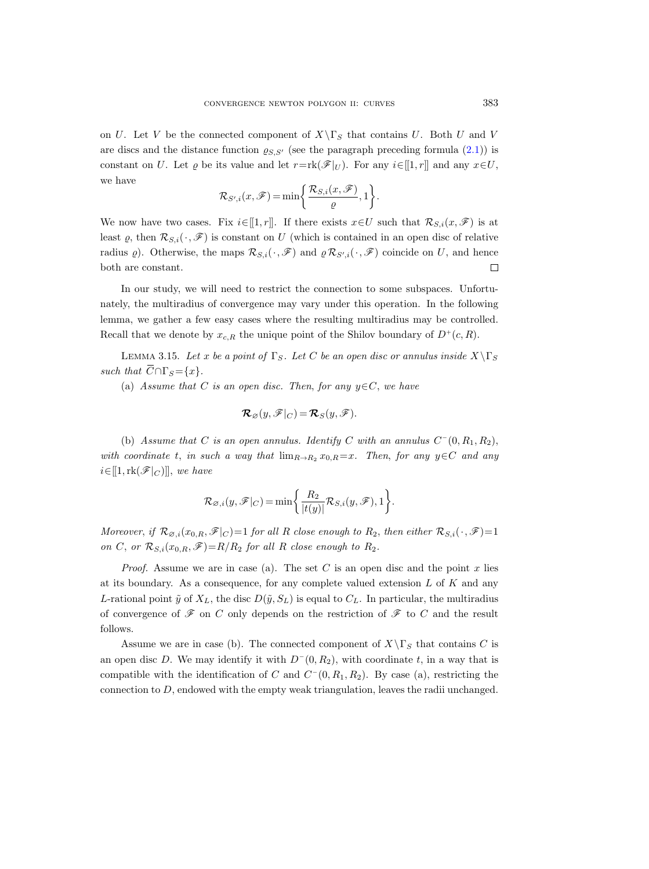on U. Let V be the connected component of  $X\backslash \Gamma_S$  that contains U. Both U and V are discs and the distance function  $\varrho_{S,S'}$  (see the paragraph preceding formula [\(2.1\)](#page-16-2)) is constant on U. Let  $\varrho$  be its value and let  $r=r\mathbf{k}(\mathscr{F}|_U)$ . For any  $i\in[1,r]$  and any  $x\in U$ , we have

$$
\mathcal{R}_{S',i}(x,\mathscr{F}) = \min\bigg\{\frac{\mathcal{R}_{S,i}(x,\mathscr{F})}{\varrho},1\bigg\}.
$$

We now have two cases. Fix  $i\in[1,r]$ . If there exists  $x\in U$  such that  $\mathcal{R}_{S,i}(x,\mathscr{F})$  is at least  $\varrho$ , then  $\mathcal{R}_{S,i}(\cdot,\mathscr{F})$  is constant on U (which is contained in an open disc of relative radius  $\varrho$ ). Otherwise, the maps  $\mathcal{R}_{S,i}(\cdot,\mathscr{F})$  and  $\varrho \mathcal{R}_{S',i}(\cdot,\mathscr{F})$  coincide on U, and hence both are constant.  $\Box$ 

In our study, we will need to restrict the connection to some subspaces. Unfortunately, the multiradius of convergence may vary under this operation. In the following lemma, we gather a few easy cases where the resulting multiradius may be controlled. Recall that we denote by  $x_{c,R}$  the unique point of the Shilov boundary of  $D^+(c,R)$ .

<span id="page-26-0"></span>LEMMA 3.15. Let x be a point of  $\Gamma_S$ . Let C be an open disc or annulus inside  $X\backslash \Gamma_S$ such that  $\overline{C} \cap \Gamma_S = \{x\}.$ 

(a) Assume that C is an open disc. Then, for any  $y \in C$ , we have

$$
\mathcal{R}_{\varnothing}(y,\mathscr{F}|_C)=\mathcal{R}_S(y,\mathscr{F}).
$$

(b) Assume that C is an open annulus. Identify C with an annulus  $C^-(0, R_1, R_2)$ , with coordinate t, in such a way that  $\lim_{R\to R_2} x_{0,R} = x$ . Then, for any y∈C and any  $i \in [[1, \text{rk}(\mathscr{F}|_C)]]$ , we have

$$
\mathcal{R}_{\varnothing,i}(y,\mathscr{F}|_C)=\min\biggl\{\frac{R_2}{|t(y)|}\mathcal{R}_{S,i}(y,\mathscr{F}),1\biggr\}.
$$

Moreover, if  $\mathcal{R}_{\varnothing,i}(x_{0,R}, \mathscr{F}|_C) = 1$  for all R close enough to  $R_2$ , then either  $\mathcal{R}_{S,i}(\cdot, \mathscr{F}) = 1$ on C, or  $\mathcal{R}_{S,i}(x_{0,R},\mathscr{F})=R/R_2$  for all R close enough to  $R_2$ .

*Proof.* Assume we are in case (a). The set C is an open disc and the point x lies at its boundary. As a consequence, for any complete valued extension  $L$  of  $K$  and any L-rational point  $\tilde{y}$  of  $X_L$ , the disc  $D(\tilde{y}, S_L)$  is equal to  $C_L$ . In particular, the multiradius of convergence of  $\mathscr F$  on C only depends on the restriction of  $\mathscr F$  to C and the result follows.

Assume we are in case (b). The connected component of  $X\backslash \Gamma_S$  that contains C is an open disc D. We may identify it with  $D^-(0, R_2)$ , with coordinate t, in a way that is compatible with the identification of C and  $C^-(0, R_1, R_2)$ . By case (a), restricting the connection to  $D$ , endowed with the empty weak triangulation, leaves the radii unchanged.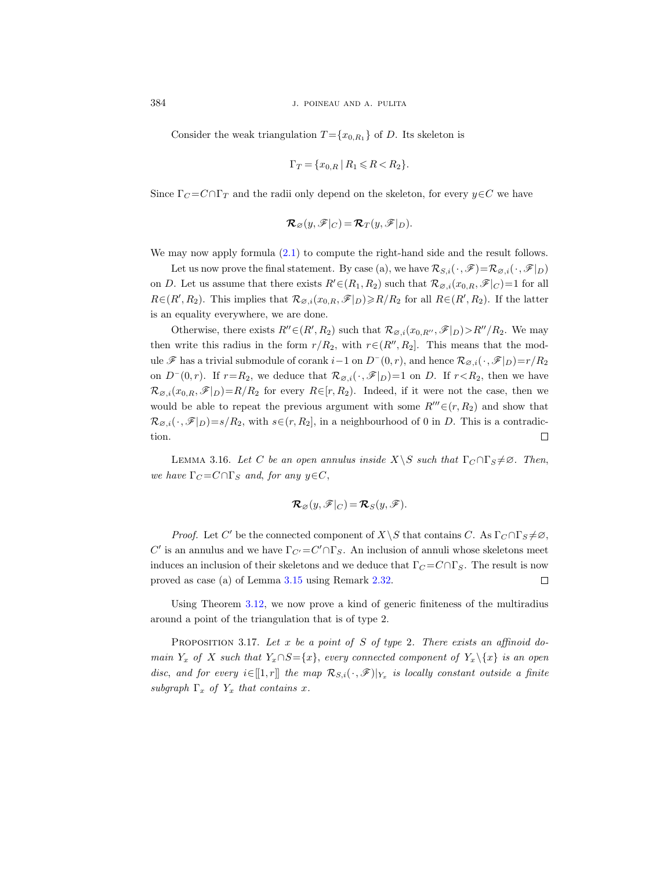Consider the weak triangulation  $T = \{x_{0,R_1}\}\$  of D. Its skeleton is

$$
\Gamma_T = \{ x_{0,R} \mid R_1 \leq R < R_2 \}.
$$

Since  $\Gamma_C = C \cap \Gamma_T$  and the radii only depend on the skeleton, for every  $y \in C$  we have

$$
\mathcal{R}_{\varnothing}(y,\mathscr{F}|_C)=\mathcal{R}_T(y,\mathscr{F}|_D).
$$

We may now apply formula [\(2.1\)](#page-16-2) to compute the right-hand side and the result follows.

Let us now prove the final statement. By case (a), we have  $\mathcal{R}_{S,i}(\cdot,\mathscr{F})=\mathcal{R}_{\varnothing,i}(\cdot,\mathscr{F}|_D)$ on D. Let us assume that there exists  $R' \in (R_1, R_2)$  such that  $\mathcal{R}_{\varnothing,i}(x_{0,R}, \mathscr{F}|_C) = 1$  for all  $R \in (R', R_2)$ . This implies that  $\mathcal{R}_{\varnothing, i}(x_{0,R}, \mathscr{F}|_D) \geq R/R_2$  for all  $R \in (R', R_2)$ . If the latter is an equality everywhere, we are done.

Otherwise, there exists  $R'' \in (R', R_2)$  such that  $\mathcal{R}_{\varnothing, i}(x_{0,R''}, \mathscr{F}|_{D}) > R''/R_2$ . We may then write this radius in the form  $r/R_2$ , with  $r \in (R'', R_2]$ . This means that the module  $\mathscr F$  has a trivial submodule of corank  $i-1$  on  $D^-(0,r)$ , and hence  $\mathcal R_{\varnothing,i}(\cdot,\mathscr F|_D)=r/R_2$ on  $D^-(0,r)$ . If  $r=R_2$ , we deduce that  $\mathcal{R}_{\varnothing,i}(\cdot,\mathscr{F}|_D)=1$  on D. If  $r < R_2$ , then we have  $\mathcal{R}_{\varnothing,i}(x_{0,R},\mathscr{F}|_D)=R/R_2$  for every  $R\in[r,R_2]$ . Indeed, if it were not the case, then we would be able to repeat the previous argument with some  $R'''(r, R_2)$  and show that  $\mathcal{R}_{\varnothing,i}(\cdot,\mathscr{F}|_D)=s/R_2$ , with  $s\in(r,R_2]$ , in a neighbourhood of 0 in D. This is a contradiction.  $\Box$ 

<span id="page-27-1"></span>LEMMA 3.16. Let C be an open annulus inside  $X\backslash S$  such that  $\Gamma_C \cap \Gamma_S \neq \emptyset$ . Then, we have  $\Gamma_C = C \cap \Gamma_S$  and, for any  $y \in C$ ,

$$
\mathcal{R}_{\varnothing}(y,\mathscr{F}|_C)=\mathcal{R}_S(y,\mathscr{F}).
$$

*Proof.* Let C' be the connected component of  $X\backslash S$  that contains C. As  $\Gamma_C \cap \Gamma_S \neq \emptyset$ ,  $C'$  is an annulus and we have  $\Gamma_{C'} = C' \cap \Gamma_S$ . An inclusion of annuli whose skeletons meet induces an inclusion of their skeletons and we deduce that  $\Gamma_C = C \cap \Gamma_S$ . The result is now proved as case (a) of Lemma [3.15](#page-26-0) using Remark [2.32.](#page-14-1)  $\Box$ 

Using Theorem [3.12,](#page-23-0) we now prove a kind of generic finiteness of the multiradius around a point of the triangulation that is of type 2.

<span id="page-27-0"></span>PROPOSITION 3.17. Let x be a point of S of type 2. There exists an affinoid domain Y<sub>x</sub> of X such that  $Y_x \cap S = \{x\}$ , every connected component of  $Y_x \setminus \{x\}$  is an open disc, and for every  $i \in [[1,r]]$  the map  $\mathcal{R}_{S,i}(\cdot, \mathscr{F})|_{Y_x}$  is locally constant outside a finite subgraph  $\Gamma_x$  of  $Y_x$  that contains x.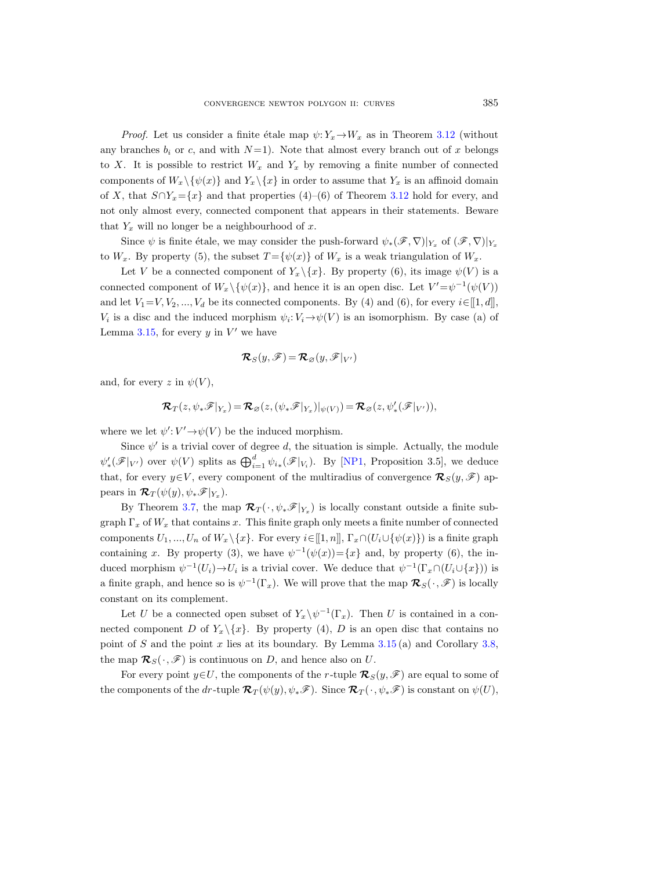*Proof.* Let us consider a finite étale map  $\psi: Y_x \to W_x$  as in Theorem [3.12](#page-23-0) (without any branches  $b_i$  or c, and with  $N=1$ ). Note that almost every branch out of x belongs to X. It is possible to restrict  $W_x$  and  $Y_x$  by removing a finite number of connected components of  $W_x \setminus {\psi(x)}$  and  $Y_x \setminus {x}$  in order to assume that  $Y_x$  is an affinoid domain of X, that  $S \cap Y_x = \{x\}$  and that properties (4)–(6) of Theorem [3.12](#page-23-0) hold for every, and not only almost every, connected component that appears in their statements. Beware that  $Y_x$  will no longer be a neighbourhood of x.

Since  $\psi$  is finite étale, we may consider the push-forward  $\psi_*(\mathscr{F}, \nabla)|_{Y_x}$  of  $(\mathscr{F}, \nabla)|_{Y_x}$ to  $W_x$ . By property (5), the subset  $T = {\psi(x)}$  of  $W_x$  is a weak triangulation of  $W_x$ .

Let V be a connected component of  $Y_x \setminus \{x\}$ . By property (6), its image  $\psi(V)$  is a connected component of  $W_x \setminus {\psi(x)}$ , and hence it is an open disc. Let  $V' = \psi^{-1}(\psi(V))$ and let  $V_1=V, V_2, ..., V_d$  be its connected components. By (4) and (6), for every  $i\in [[1, d]],$  $V_i$  is a disc and the induced morphism  $\psi_i: V_i \to \psi(V)$  is an isomorphism. By case (a) of Lemma [3.15,](#page-26-0) for every  $y$  in  $V'$  we have

$$
\boldsymbol{\mathcal{R}}_S(y,\mathscr{F})\!=\!\boldsymbol{\mathcal{R}}_\varnothing(y,\mathscr{F}|_{V'})
$$

and, for every z in  $\psi(V)$ ,

$$
\boldsymbol{\mathcal{R}}_T(z, \psi_*\mathscr{F}|_{Y_x}) = \boldsymbol{\mathcal{R}}_{\varnothing}(z, (\psi_*\mathscr{F}|_{Y_x})|_{\psi(V)}) = \boldsymbol{\mathcal{R}}_{\varnothing}(z, \psi'_*(\mathscr{F}|_{V'})),
$$

where we let  $\psi' : V' \rightarrow \psi(V)$  be the induced morphism.

Since  $\psi'$  is a trivial cover of degree d, the situation is simple. Actually, the module  $\psi'_*(\mathscr{F}|_{V'})$  over  $\psi(V)$  splits as  $\bigoplus_{i=1}^d \psi_{i*}(\mathscr{F}|_{V_i})$ . By [\[NP1,](#page-36-0) Proposition 3.5], we deduce that, for every  $y \in V$ , every component of the multiradius of convergence  $\mathcal{R}_S(y, \mathscr{F})$  appears in  $\mathcal{R}_T(\psi(y), \psi_*\mathscr{F}|_{Y_x}).$ 

By Theorem [3.7,](#page-21-1) the map  $\mathcal{R}_T(\cdot, \psi_*\mathscr{F}|_{Y_x})$  is locally constant outside a finite subgraph  $\Gamma_x$  of  $W_x$  that contains x. This finite graph only meets a finite number of connected components  $U_1, ..., U_n$  of  $W_x \setminus \{x\}$ . For every  $i \in [1, n], \Gamma_x \cap (U_i \cup \{\psi(x)\})$  is a finite graph containing x. By property (3), we have  $\psi^{-1}(\psi(x)) = \{x\}$  and, by property (6), the induced morphism  $\psi^{-1}(U_i) \to U_i$  is a trivial cover. We deduce that  $\psi^{-1}(\Gamma_x \cap (U_i \cup \{x\}))$  is a finite graph, and hence so is  $\psi^{-1}(\Gamma_x)$ . We will prove that the map  $\mathcal{R}_S(\cdot,\mathscr{F})$  is locally constant on its complement.

Let U be a connected open subset of  $Y_x \backslash \psi^{-1}(\Gamma_x)$ . Then U is contained in a connected component D of  $Y_x \setminus \{x\}$ . By property (4), D is an open disc that contains no point of S and the point x lies at its boundary. By Lemma  $3.15$  (a) and Corollary [3.8,](#page-21-2) the map  $\mathcal{R}_S(\cdot, \mathscr{F})$  is continuous on D, and hence also on U.

For every point  $y \in U$ , the components of the r-tuple  $\mathcal{R}_S(y, \mathscr{F})$  are equal to some of the components of the dr-tuple  $\mathcal{R}_T(\psi(y), \psi_*\mathscr{F})$ . Since  $\mathcal{R}_T(\cdot, \psi_*\mathscr{F})$  is constant on  $\psi(U)$ ,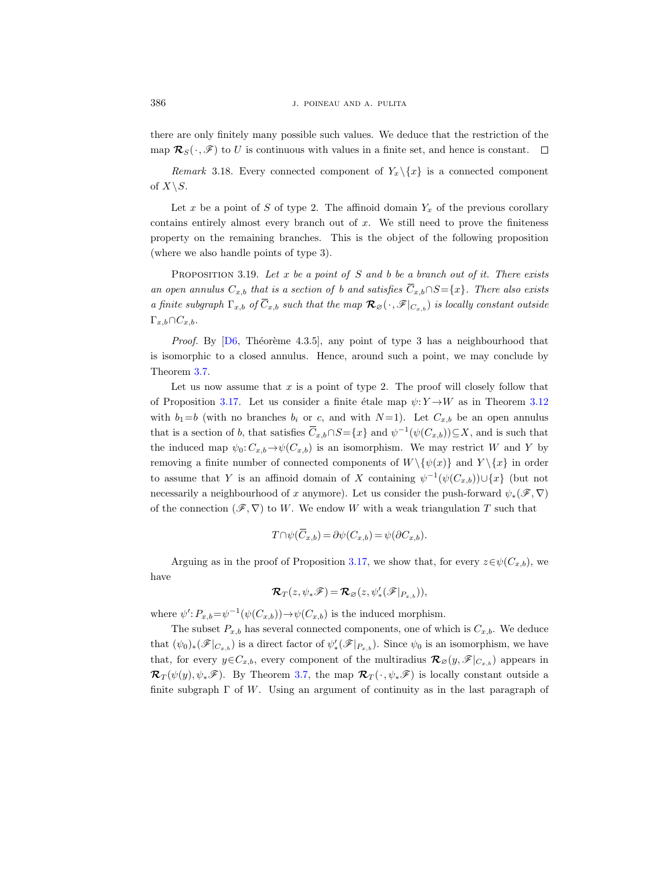there are only finitely many possible such values. We deduce that the restriction of the map  $\mathcal{R}_S(\cdot, \mathscr{F})$  to U is continuous with values in a finite set, and hence is constant.  $\Box$ 

<span id="page-29-1"></span>Remark 3.18. Every connected component of  $Y_x \setminus \{x\}$  is a connected component of  $X\backslash S$ .

Let x be a point of S of type 2. The affinoid domain  $Y_x$  of the previous corollary contains entirely almost every branch out of  $x$ . We still need to prove the finiteness property on the remaining branches. This is the object of the following proposition (where we also handle points of type 3).

<span id="page-29-0"></span>PROPOSITION 3.19. Let x be a point of S and b be a branch out of it. There exists an open annulus  $C_{x,b}$  that is a section of b and satisfies  $\overline{C}_{x,b} \cap S = \{x\}$ . There also exists a finite subgraph  $\Gamma_{x,b}$  of  $\overline{C}_{x,b}$  such that the map  $\mathcal{R}_{\varnothing}(\cdot, \mathscr{F}|_{C_{x,b}})$  is locally constant outside  $\Gamma_{x,b}\cap C_{x,b}.$ 

*Proof.* By  $[D6, Théorème 4.3.5],$  any point of type 3 has a neighbourhood that is isomorphic to a closed annulus. Hence, around such a point, we may conclude by Theorem [3.7.](#page-21-1)

Let us now assume that  $x$  is a point of type 2. The proof will closely follow that of Proposition [3.17.](#page-27-0) Let us consider a finite étale map  $\psi: Y \rightarrow W$  as in Theorem [3.12](#page-23-0) with  $b_1=b$  (with no branches  $b_i$  or c, and with  $N=1$ ). Let  $C_{x,b}$  be an open annulus that is a section of b, that satisfies  $\overline{C}_{x,b} \cap S = \{x\}$  and  $\psi^{-1}(\psi(C_{x,b})) \subseteq X$ , and is such that the induced map  $\psi_0: C_{x,b} \to \psi(C_{x,b})$  is an isomorphism. We may restrict W and Y by removing a finite number of connected components of  $W \setminus {\psi(x)}$  and  $Y \setminus {x}$  in order to assume that Y is an affinoid domain of X containing  $\psi^{-1}(\psi(C_{x,b})) \cup \{x\}$  (but not necessarily a neighbourhood of x anymore). Let us consider the push-forward  $\psi_*(\mathscr{F}, \nabla)$ of the connection  $(\mathscr{F}, \nabla)$  to W. We endow W with a weak triangulation T such that

$$
T \cap \psi(\overline{C}_{x,b}) = \partial \psi(C_{x,b}) = \psi(\partial C_{x,b}).
$$

Arguing as in the proof of Proposition [3.17,](#page-27-0) we show that, for every  $z \in \psi(C_{x,b})$ , we have

$$
\boldsymbol{\mathcal{R}}_T(z, \psi_*\mathscr{F}) = \boldsymbol{\mathcal{R}}_{\varnothing}(z, \psi'_*(\mathscr{F}|_{P_{x,b}})),
$$

where  $\psi'$ :  $P_{x,b} = \psi^{-1}(\psi(C_{x,b})) \rightarrow \psi(C_{x,b})$  is the induced morphism.

The subset  $P_{x,b}$  has several connected components, one of which is  $C_{x,b}$ . We deduce that  $(\psi_0)_*(\mathscr{F}|_{C_{x,b}})$  is a direct factor of  $\psi'_*(\mathscr{F}|_{P_{x,b}})$ . Since  $\psi_0$  is an isomorphism, we have that, for every  $y \in C_{x,b}$ , every component of the multiradius  $\mathcal{R}_{\emptyset}(y,\mathscr{F}|_{C_{x,b}})$  appears in  $\mathcal{R}_T(\psi(y), \psi_*\mathscr{F})$ . By Theorem [3.7,](#page-21-1) the map  $\mathcal{R}_T(\cdot, \psi_*\mathscr{F})$  is locally constant outside a finite subgraph  $\Gamma$  of W. Using an argument of continuity as in the last paragraph of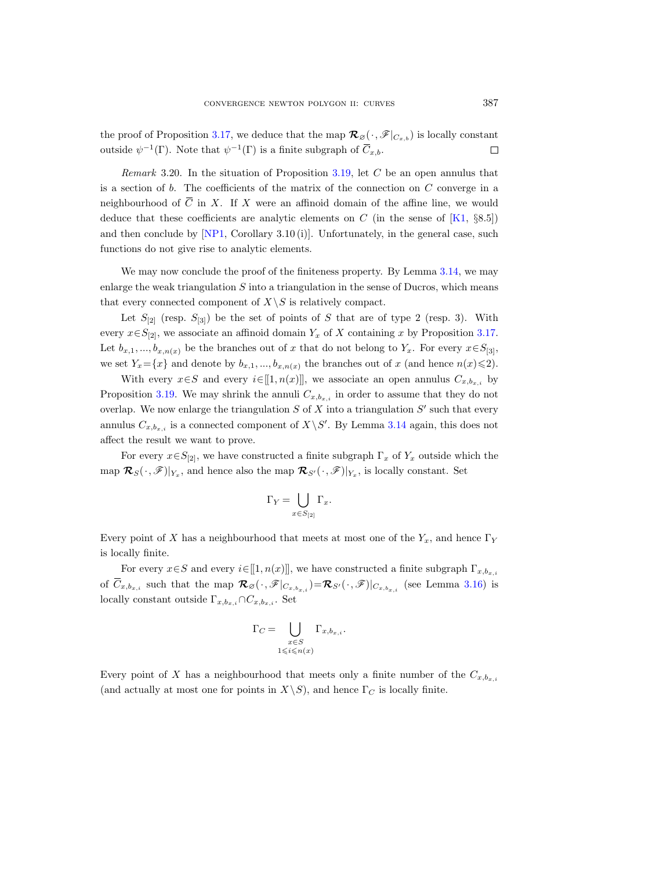the proof of Proposition [3.17,](#page-27-0) we deduce that the map  $\mathcal{R}_{\mathcal{B}}(\cdot,\mathscr{F}|_{C_{x,b}})$  is locally constant outside  $\psi^{-1}(\Gamma)$ . Note that  $\psi^{-1}(\Gamma)$  is a finite subgraph of  $\overline{C}_{x,b}$ .  $\Box$ 

*Remark* 3.20. In the situation of Proposition [3.19,](#page-29-0) let  $C$  be an open annulus that is a section of  $b$ . The coefficients of the matrix of the connection on  $C$  converge in a neighbourhood of  $\overline{C}$  in X. If X were an affinoid domain of the affine line, we would deduce that these coefficients are analytic elements on C (in the sense of  $[K1, \S8.5]$ ) and then conclude by  $[NP1, Corollary 3.10 (i)]$ . Unfortunately, in the general case, such functions do not give rise to analytic elements.

We may now conclude the proof of the finiteness property. By Lemma [3.14,](#page-25-0) we may enlarge the weak triangulation  $S$  into a triangulation in the sense of Ducros, which means that every connected component of  $X\setminus S$  is relatively compact.

Let  $S_{[2]}$  (resp.  $S_{[3]}$ ) be the set of points of S that are of type 2 (resp. 3). With every  $x \in S_{[2]}$ , we associate an affinoid domain  $Y_x$  of X containing x by Proposition [3.17.](#page-27-0) Let  $b_{x,1},...,b_{x,n(x)}$  be the branches out of x that do not belong to Y<sub>x</sub>. For every  $x \in S_{[3]}$ , we set  $Y_x = \{x\}$  and denote by  $b_{x,1},..., b_{x,n(x)}$  the branches out of x (and hence  $n(x) \leq 2$ ).

With every  $x \in S$  and every  $i \in [[1, n(x)]]$ , we associate an open annulus  $C_{x,b_{x,i}}$  by Proposition [3.19.](#page-29-0) We may shrink the annuli  $C_{x,b_{x,i}}$  in order to assume that they do not overlap. We now enlarge the triangulation  $S$  of  $X$  into a triangulation  $S'$  such that every annulus  $C_{x,b_{x,i}}$  is a connected component of  $X\backslash S'$ . By Lemma [3.14](#page-25-0) again, this does not affect the result we want to prove.

For every  $x \in S_{[2]}$ , we have constructed a finite subgraph  $\Gamma_x$  of  $Y_x$  outside which the map  $\mathcal{R}_{S}(\cdot,\mathscr{F})|_{Y_x}$ , and hence also the map  $\mathcal{R}_{S'}(\cdot,\mathscr{F})|_{Y_x}$ , is locally constant. Set

$$
\Gamma_Y = \bigcup_{x \in S_{[2]}} \Gamma_x.
$$

Every point of X has a neighbourhood that meets at most one of the  $Y_x$ , and hence  $\Gamma_Y$ is locally finite.

For every  $x \in S$  and every  $i \in [[1, n(x)]]$ , we have constructed a finite subgraph  $\Gamma_{x,b_{x,i}}$ of  $\overline{C}_{x,b_{x,i}}$  such that the map  $\mathcal{R}_{\varnothing}(\cdot,\mathscr{F}|_{C_x,b_{x,i}})=\mathcal{R}_{S'}(\cdot,\mathscr{F})|_{C_{x,b_{x,i}}}$  (see Lemma [3.16\)](#page-27-1) is locally constant outside  $\Gamma_{x,b_{x,i}} \cap C_{x,b_{x,i}}$ . Set

$$
\Gamma_C = \bigcup_{\substack{x \in S \\ 1 \leqslant i \leqslant n(x)}} \Gamma_{x, b_{x, i}}.
$$

Every point of X has a neighbourhood that meets only a finite number of the  $C_{x,b_{x,i}}$ (and actually at most one for points in  $X\backslash S$ ), and hence  $\Gamma_C$  is locally finite.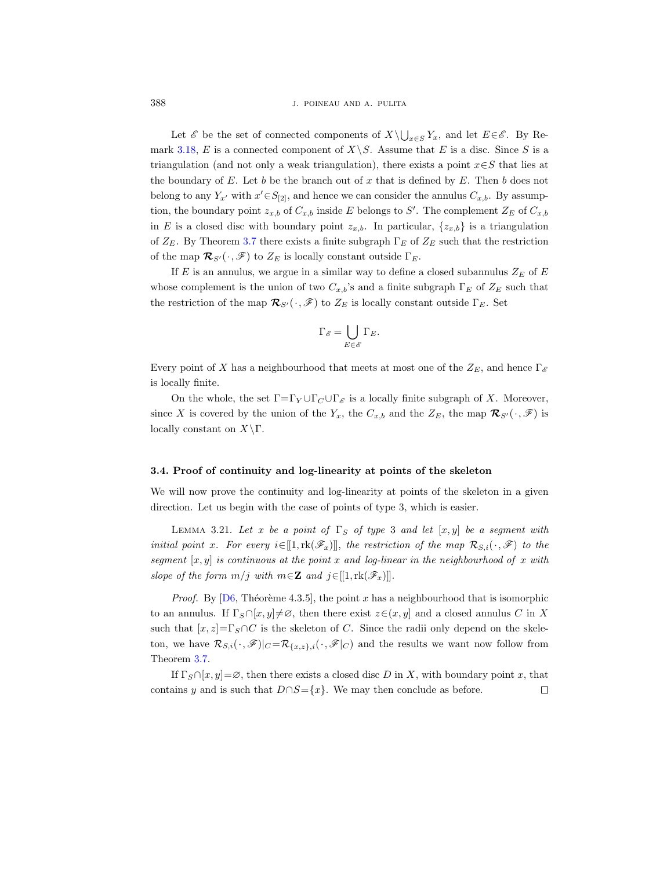Let  $\mathscr E$  be the set of connected components of  $X\setminus \bigcup_{x\in S} Y_x$ , and let  $E\in \mathscr E$ . By Re-mark [3.18,](#page-29-1) E is a connected component of  $X\backslash S$ . Assume that E is a disc. Since S is a triangulation (and not only a weak triangulation), there exists a point  $x \in S$  that lies at the boundary of  $E$ . Let  $b$  be the branch out of  $x$  that is defined by  $E$ . Then  $b$  does not belong to any  $Y_{x'}$  with  $x' \in S_{[2]}$ , and hence we can consider the annulus  $C_{x,b}$ . By assumption, the boundary point  $z_{x,b}$  of  $C_{x,b}$  inside E belongs to S'. The complement  $Z_E$  of  $C_{x,b}$ in E is a closed disc with boundary point  $z_{x,b}$ . In particular,  $\{z_{x,b}\}$  is a triangulation of  $Z_E$ . By Theorem [3.7](#page-21-1) there exists a finite subgraph  $\Gamma_E$  of  $Z_E$  such that the restriction of the map  $\mathcal{R}_{S'}(\cdot, \mathscr{F})$  to  $Z_E$  is locally constant outside  $\Gamma_E$ .

If E is an annulus, we argue in a similar way to define a closed subannulus  $Z_E$  of E whose complement is the union of two  $C_{x,b}$ 's and a finite subgraph  $\Gamma_E$  of  $Z_E$  such that the restriction of the map  $\mathcal{R}_{S'}(\cdot, \mathscr{F})$  to  $Z_E$  is locally constant outside  $\Gamma_E$ . Set

$$
\Gamma_{\mathscr{E}}=\bigcup_{E\in\mathscr{E}}\Gamma_{E}.
$$

Every point of X has a neighbourhood that meets at most one of the  $Z_E$ , and hence  $\Gamma_{\mathscr{E}}$ is locally finite.

On the whole, the set  $\Gamma = \Gamma_Y \cup \Gamma_C \cup \Gamma_{\mathscr{E}}$  is a locally finite subgraph of X. Moreover, since X is covered by the union of the  $Y_x$ , the  $C_{x,b}$  and the  $Z_E$ , the map  $\mathcal{R}_{S'}(\cdot,\mathscr{F})$  is locally constant on  $X\backslash\Gamma$ .

#### 3.4. Proof of continuity and log-linearity at points of the skeleton

We will now prove the continuity and log-linearity at points of the skeleton in a given direction. Let us begin with the case of points of type 3, which is easier.

<span id="page-31-0"></span>LEMMA 3.21. Let x be a point of  $\Gamma_S$  of type 3 and let  $[x, y]$  be a segment with initial point x. For every  $i \in [[1, \text{rk}(\mathscr{F}_x)]]$ , the restriction of the map  $\mathcal{R}_{S,i}(\cdot, \mathscr{F})$  to the segment  $[x, y]$  is continuous at the point x and log-linear in the neighbourhood of x with slope of the form  $m/j$  with  $m \in \mathbb{Z}$  and  $j \in [[1, \text{rk}(\mathscr{F}_x)]]$ .

*Proof.* By [\[D6,](#page-35-3) Théorème 4.3.5], the point x has a neighbourhood that is isomorphic to an annulus. If  $\Gamma_S \cap [x, y] \neq \emptyset$ , then there exist  $z \in (x, y]$  and a closed annulus C in X such that  $[x, z] = \Gamma_S \cap C$  is the skeleton of C. Since the radii only depend on the skeleton, we have  $\mathcal{R}_{S,i}(\cdot,\mathscr{F})|_C = \mathcal{R}_{\{x,z\},i}(\cdot,\mathscr{F}|_C)$  and the results we want now follow from Theorem [3.7.](#page-21-1)

If  $\Gamma_S \cap [x, y] = \emptyset$ , then there exists a closed disc D in X, with boundary point x, that contains y and is such that  $D \cap S = \{x\}$ . We may then conclude as before.  $\Box$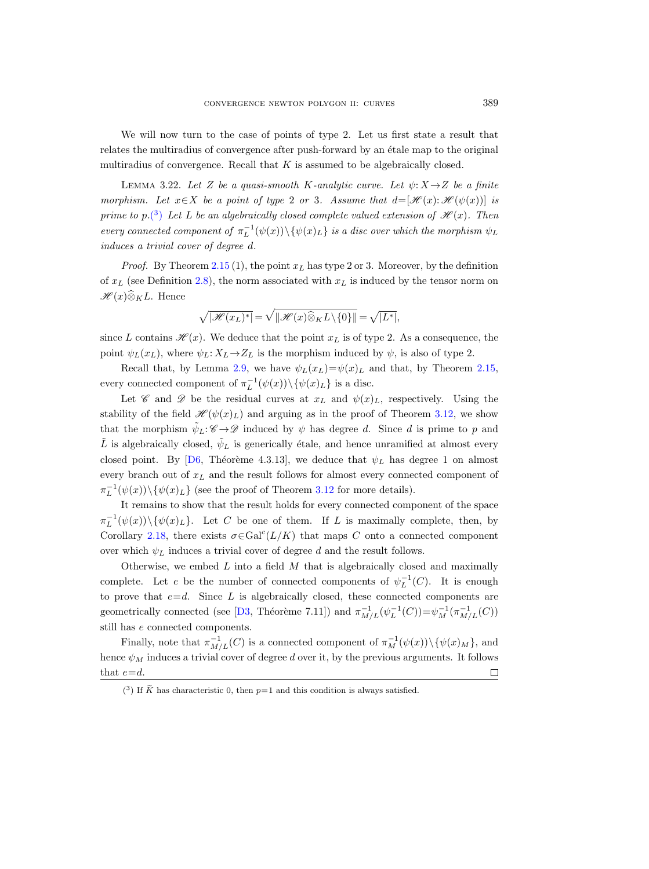We will now turn to the case of points of type 2. Let us first state a result that relates the multiradius of convergence after push-forward by an étale map to the original multiradius of convergence. Recall that  $K$  is assumed to be algebraically closed.

LEMMA 3.22. Let Z be a quasi-smooth K-analytic curve. Let  $\psi: X \to Z$  be a finite morphism. Let  $x \in X$  be a point of type 2 or 3. Assume that  $d=[\mathscr{H}(x):\mathscr{H}(\psi(x))]$  is prime to p.<sup>[\(](#page-32-0)3)</sup> Let L be an algebraically closed complete valued extension of  $\mathcal{H}(x)$ . Then every connected component of  $\pi_L^{-1}(\psi(x)) \setminus {\psi(x)_L}$  is a disc over which the morphism  $\psi_L$ induces a trivial cover of degree d.

*Proof.* By Theorem [2.15](#page-6-0) (1), the point  $x_L$  has type 2 or 3. Moreover, by the definition of  $x_L$  (see Definition [2.8\)](#page-5-4), the norm associated with  $x_L$  is induced by the tensor norm on  $\mathscr{H}(x)\widehat{\otimes}_K L$ . Hence

$$
\sqrt{|\mathscr{H}(x_L)^*|} = \sqrt{||\mathscr{H}(x)\widehat{\otimes}_K L \setminus \{0\}||} = \sqrt{|L^*|},
$$

since L contains  $\mathcal{H}(x)$ . We deduce that the point  $x<sub>L</sub>$  is of type 2. As a consequence, the point  $\psi_L(x_L)$ , where  $\psi_L: X_L \to Z_L$  is the morphism induced by  $\psi$ , is also of type 2.

Recall that, by Lemma [2.9,](#page-5-2) we have  $\psi_L(x_L)=\psi(x)_L$  and that, by Theorem [2.15,](#page-6-0) every connected component of  $\pi_L^{-1}(\psi(x)) \setminus {\psi(x)_L}$  is a disc.

Let  $\mathscr C$  and  $\mathscr D$  be the residual curves at  $x_L$  and  $\psi(x)_L$ , respectively. Using the stability of the field  $\mathscr{H}(\psi(x)_L)$  and arguing as in the proof of Theorem [3.12,](#page-23-0) we show that the morphism  $\tilde{\psi}_L: \mathscr{C} \to \mathscr{D}$  induced by  $\psi$  has degree d. Since d is prime to p and  $\tilde{L}$  is algebraically closed,  $\tilde{\psi}_L$  is generically étale, and hence unramified at almost every closed point. By [\[D6,](#page-35-3) Théorème 4.3.13], we deduce that  $\psi_L$  has degree 1 on almost every branch out of  $x<sub>L</sub>$  and the result follows for almost every connected component of  $\pi_L^{-1}(\psi(x)) \setminus {\psi(x)_L}$  (see the proof of Theorem [3.12](#page-23-0) for more details).

It remains to show that the result holds for every connected component of the space  $\pi_L^{-1}(\psi(x))\setminus\{\psi(x)_L\}.$  Let C be one of them. If L is maximally complete, then, by Corollary [2.18,](#page-8-0) there exists  $\sigma \in \text{Gal}^{c}(L/K)$  that maps C onto a connected component over which  $\psi_L$  induces a trivial cover of degree d and the result follows.

Otherwise, we embed  $L$  into a field  $M$  that is algebraically closed and maximally complete. Let e be the number of connected components of  $\psi_L^{-1}(C)$ . It is enough to prove that  $e=d$ . Since L is algebraically closed, these connected components are geometrically connected (see [\[D3,](#page-35-16) Théorème 7.11]) and  $\pi_{M/L}^{-1}(\psi_L^{-1}(C)) = \psi_M^{-1}(\pi_{M/L}^{-1}(C))$ still has e connected components.

Finally, note that  $\pi_{M/L}^{-1}(C)$  is a connected component of  $\pi_M^{-1}(\psi(x)) \setminus {\psi(x)_M}$ , and hence  $\psi_M$  induces a trivial cover of degree d over it, by the previous arguments. It follows that  $e=d$ .  $\Box$ 

<span id="page-32-1"></span><span id="page-32-0"></span><sup>&</sup>lt;sup>(3)</sup> If  $\tilde{K}$  has characteristic 0, then  $p=1$  and this condition is always satisfied.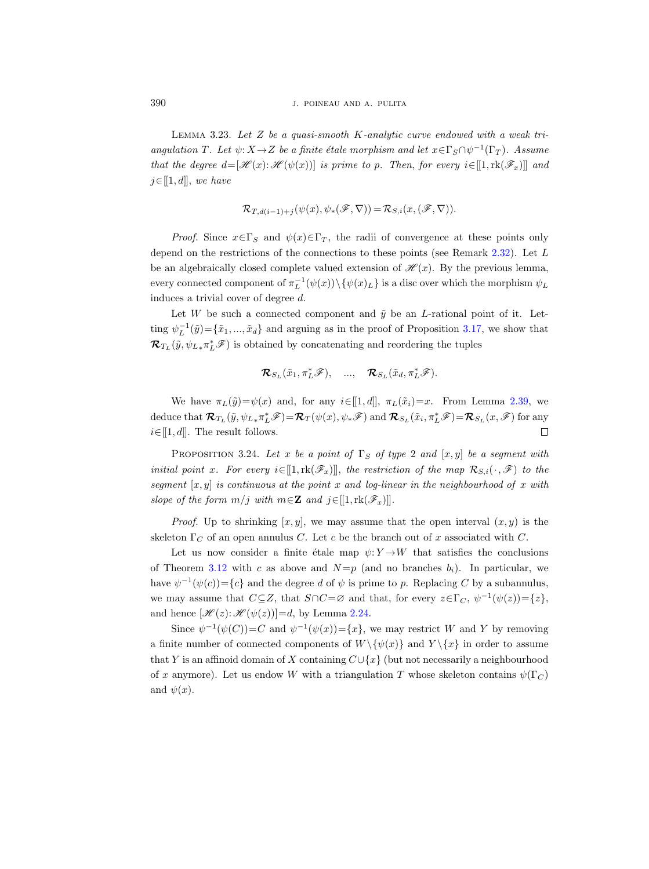LEMMA 3.23. Let  $Z$  be a quasi-smooth K-analytic curve endowed with a weak triangulation T. Let  $\psi: X \to Z$  be a finite étale morphism and let  $x \in \Gamma_S \cap \psi^{-1}(\Gamma_T)$ . Assume that the degree  $d=[\mathcal{H}(x):\mathcal{H}(\psi(x))]$  is prime to p. Then, for every  $i\in[1,\text{rk}(\mathscr{F}_x)]$  and  $j \in [[1, d]], we have$ 

$$
\mathcal{R}_{T,d(i-1)+j}(\psi(x),\psi_*(\mathscr{F},\nabla))=\mathcal{R}_{S,i}(x,(\mathscr{F},\nabla)).
$$

*Proof.* Since  $x \in \Gamma_S$  and  $\psi(x) \in \Gamma_T$ , the radii of convergence at these points only depend on the restrictions of the connections to these points (see Remark [2.32\)](#page-14-1). Let L be an algebraically closed complete valued extension of  $\mathcal{H}(x)$ . By the previous lemma, every connected component of  $\pi_L^{-1}(\psi(x)) \setminus {\psi(x)_L}$  is a disc over which the morphism  $\psi_L$ induces a trivial cover of degree d.

Let W be such a connected component and  $\tilde{y}$  be an L-rational point of it. Letting  $\psi_L^{-1}(\tilde{y}) = {\tilde{x}_1, ..., \tilde{x}_d}$  and arguing as in the proof of Proposition [3.17,](#page-27-0) we show that  $\mathcal{R}_{T_L}(\tilde{y}, \psi_{L*}\pi_L^*\mathscr{F})$  is obtained by concatenating and reordering the tuples

$$
\mathcal{R}_{S_L}(\tilde{x}_1, \pi_L^*\mathscr{F}), \quad ..., \quad \mathcal{R}_{S_L}(\tilde{x}_d, \pi_L^*\mathscr{F}).
$$

We have  $\pi_L(\tilde{y})=\psi(x)$  and, for any  $i\in[1,d]$ ,  $\pi_L(\tilde{x}_i)=x$ . From Lemma [2.39,](#page-16-3) we deduce that  $\mathcal{R}_{T_L}(\tilde{y}, \psi_{L*}\pi_L^*\mathscr{F}) = \mathcal{R}_T(\psi(x), \psi_*\mathscr{F})$  and  $\mathcal{R}_{S_L}(\tilde{x}_i, \pi_L^*\mathscr{F}) = \mathcal{R}_{S_L}(x, \mathscr{F})$  for any  $i \in [[1, d]]$ . The result follows.  $\Box$ 

<span id="page-33-0"></span>PROPOSITION 3.24. Let x be a point of  $\Gamma_S$  of type 2 and  $[x, y]$  be a segment with initial point x. For every  $i \in [[1, \text{rk}(\mathscr{F}_x)]]$ , the restriction of the map  $\mathcal{R}_{S,i}(\cdot, \mathscr{F})$  to the segment  $[x, y]$  is continuous at the point x and log-linear in the neighbourhood of x with slope of the form  $m/j$  with  $m \in \mathbb{Z}$  and  $j \in [[1, \text{rk}(\mathscr{F}_x)]]$ .

*Proof.* Up to shrinking  $[x, y]$ , we may assume that the open interval  $(x, y)$  is the skeleton  $\Gamma_C$  of an open annulus C. Let c be the branch out of x associated with C.

Let us now consider a finite étale map  $\psi: Y \to W$  that satisfies the conclusions of Theorem [3.12](#page-23-0) with c as above and  $N=p$  (and no branches  $b_i$ ). In particular, we have  $\psi^{-1}(\psi(c)) = \{c\}$  and the degree d of  $\psi$  is prime to p. Replacing C by a subannulus, we may assume that  $C \subseteq Z$ , that  $S \cap C = \varnothing$  and that, for every  $z \in \Gamma_C$ ,  $\psi^{-1}(\psi(z)) = \{z\}$ , and hence  $[\mathcal{H}(z):\mathcal{H}(\psi(z))] = d$ , by Lemma [2.24.](#page-10-1)

Since  $\psi^{-1}(\psi(C)) = C$  and  $\psi^{-1}(\psi(x)) = \{x\}$ , we may restrict W and Y by removing a finite number of connected components of  $W \setminus \{ \psi(x) \}$  and  $Y \setminus \{ x \}$  in order to assume that Y is an affinoid domain of X containing  $C\cup\{x\}$  (but not necessarily a neighbourhood of x anymore). Let us endow W with a triangulation T whose skeleton contains  $\psi(\Gamma_C)$ and  $\psi(x)$ .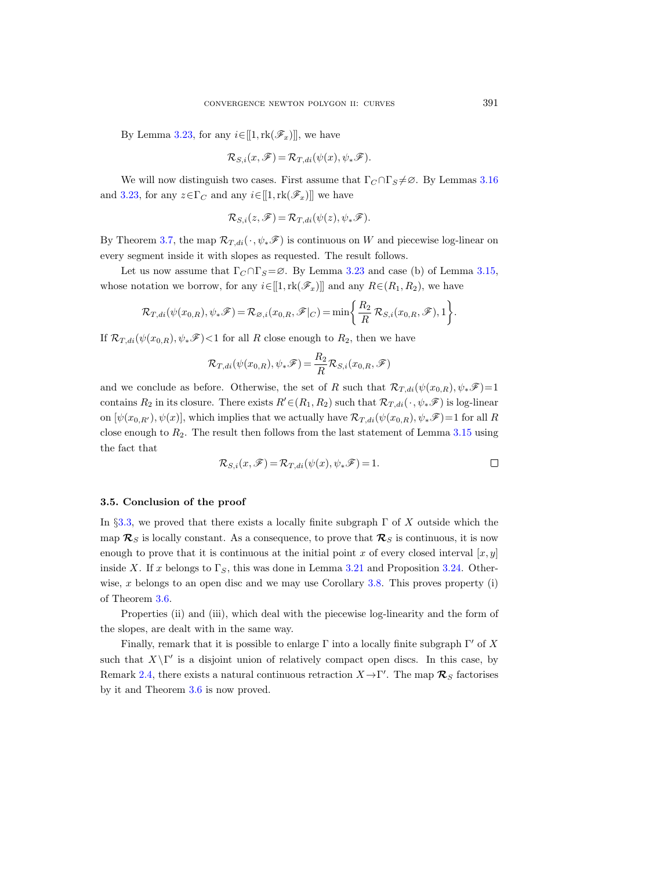By Lemma [3.23,](#page-32-1) for any  $i \in [[1, \text{rk}(\mathscr{F}_x)]]$ , we have

$$
\mathcal{R}_{S,i}(x,\mathscr{F}) = \mathcal{R}_{T,di}(\psi(x),\psi_*\mathscr{F}).
$$

We will now distinguish two cases. First assume that  $\Gamma_C \cap \Gamma_S \neq \emptyset$ . By Lemmas [3.16](#page-27-1) and [3.23,](#page-32-1) for any  $z \in \Gamma_C$  and any  $i \in [[1, \text{rk}(\mathscr{F}_x)]]$  we have

$$
\mathcal{R}_{S,i}(z,\mathscr{F})=\mathcal{R}_{T,di}(\psi(z),\psi_*\mathscr{F}).
$$

By Theorem [3.7,](#page-21-1) the map  $\mathcal{R}_{T,di}(\cdot,\psi_*\mathscr{F})$  is continuous on W and piecewise log-linear on every segment inside it with slopes as requested. The result follows.

Let us now assume that  $\Gamma_C \cap \Gamma_S = \emptyset$ . By Lemma [3.23](#page-32-1) and case (b) of Lemma [3.15,](#page-26-0) whose notation we borrow, for any  $i\in[[1,\text{rk}(\mathscr{F}_x)]]$  and any  $R\in(R_1,R_2)$ , we have

$$
\mathcal{R}_{T,di}(\psi(x_{0,R}), \psi_*\mathscr{F}) = \mathcal{R}_{\varnothing,i}(x_{0,R}, \mathscr{F}|_C) = \min\bigg\{\frac{R_2}{R} \mathcal{R}_{S,i}(x_{0,R}, \mathscr{F}), 1\bigg\}.
$$

If  $\mathcal{R}_{T,di}(\psi(x_{0,R}), \psi_*\mathscr{F})$  < 1 for all R close enough to  $R_2$ , then we have

$$
\mathcal{R}_{T,di}(\psi(x_{0,R}), \psi_*\mathscr{F}) = \frac{R_2}{R} \mathcal{R}_{S,i}(x_{0,R}, \mathscr{F})
$$

and we conclude as before. Otherwise, the set of R such that  $\mathcal{R}_{T,di}(\psi(x_{0,R}), \psi_*\mathscr{F})=1$ contains  $R_2$  in its closure. There exists  $R' \in (R_1, R_2)$  such that  $\mathcal{R}_{T, di}(\cdot, \psi_* \mathscr{F})$  is log-linear on  $[\psi(x_{0,R'},\psi(x)],$  which implies that we actually have  $\mathcal{R}_{T,di}(\psi(x_{0,R}), \psi_*\mathscr{F})=1$  for all R close enough to  $R_2$ . The result then follows from the last statement of Lemma [3.15](#page-26-0) using the fact that

$$
\mathcal{R}_{S,i}(x,\mathscr{F}) = \mathcal{R}_{T,di}(\psi(x),\psi_*\mathscr{F}) = 1.
$$

#### 3.5. Conclusion of the proof

In §[3.3,](#page-25-1) we proved that there exists a locally finite subgraph  $\Gamma$  of X outside which the map  $\mathcal{R}_S$  is locally constant. As a consequence, to prove that  $\mathcal{R}_S$  is continuous, it is now enough to prove that it is continuous at the initial point x of every closed interval  $[x, y]$ inside X. If x belongs to  $\Gamma_S$ , this was done in Lemma [3.21](#page-31-0) and Proposition [3.24.](#page-33-0) Other-wise, x belongs to an open disc and we may use Corollary [3.8.](#page-21-2) This proves property (i) of Theorem [3.6.](#page-21-0)

Properties (ii) and (iii), which deal with the piecewise log-linearity and the form of the slopes, are dealt with in the same way.

Finally, remark that it is possible to enlarge  $\Gamma$  into a locally finite subgraph  $\Gamma'$  of X such that  $X\setminus \Gamma'$  is a disjoint union of relatively compact open discs. In this case, by Remark [2.4,](#page-4-1) there exists a natural continuous retraction  $X \to \Gamma'$ . The map  $\mathcal{R}_S$  factorises by it and Theorem [3.6](#page-21-0) is now proved.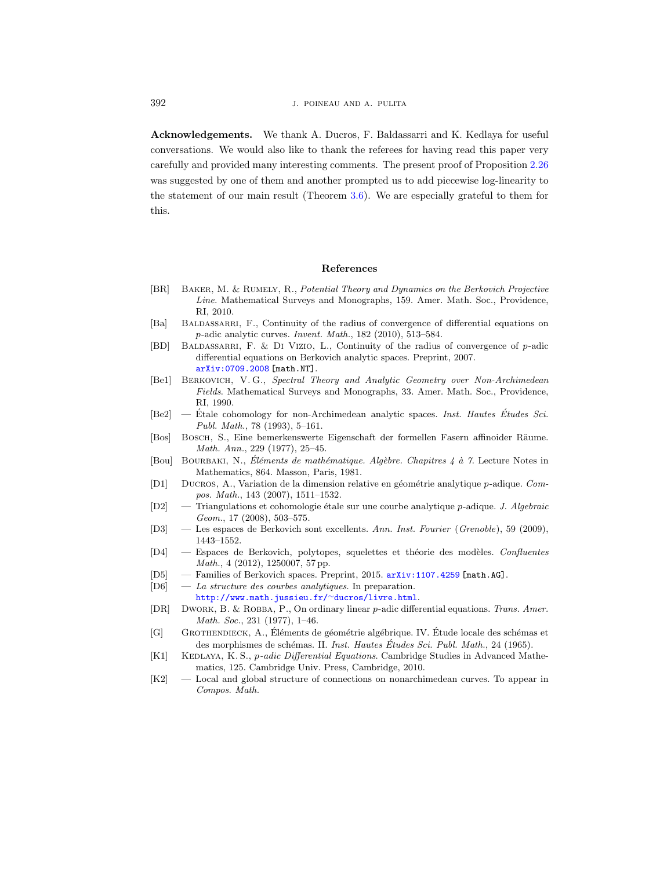Acknowledgements. We thank A. Ducros, F. Baldassarri and K. Kedlaya for useful conversations. We would also like to thank the referees for having read this paper very carefully and provided many interesting comments. The present proof of Proposition [2.26](#page-11-0) was suggested by one of them and another prompted us to add piecewise log-linearity to the statement of our main result (Theorem [3.6\)](#page-21-0). We are especially grateful to them for this.

#### References

- <span id="page-35-15"></span>[BR] Baker, M. & Rumely, R., Potential Theory and Dynamics on the Berkovich Projective Line. Mathematical Surveys and Monographs, 159. Amer. Math. Soc., Providence, RI, 2010.
- <span id="page-35-0"></span>[Ba] BALDASSARRI, F., Continuity of the radius of convergence of differential equations on p-adic analytic curves. Invent. Math., 182 (2010), 513–584.
- <span id="page-35-2"></span>[BD] BALDASSARRI, F. & DI VIZIO, L., Continuity of the radius of convergence of p-adic differential equations on Berkovich analytic spaces. Preprint, 2007. [arXiv:0709.2008](http://arxiv.org/abs/0709.2008) [math.NT].
- <span id="page-35-4"></span>[Be1] Berkovich, V. G., Spectral Theory and Analytic Geometry over Non-Archimedean Fields. Mathematical Surveys and Monographs, 33. Amer. Math. Soc., Providence, RI, 1990.
- <span id="page-35-9"></span> $[Be2]$  — Etale cohomology for non-Archimedean analytic spaces. *Inst. Hautes Etudes Sci.* Publ. Math., 78 (1993), 5–161.
- <span id="page-35-13"></span>[Bos] Bosch, S., Eine bemerkenswerte Eigenschaft der formellen Fasern affinoider R¨aume. Math. Ann., 229 (1977), 25–45.
- <span id="page-35-6"></span>[Bou] BOURBAKI, N., Éléments de mathématique. Algèbre. Chapitres  $\ddot{A}$  à 7. Lecture Notes in Mathematics, 864. Masson, Paris, 1981.
- <span id="page-35-12"></span>[D1] DUCROS, A., Variation de la dimension relative en géométrie analytique  $p$ -adique. Compos. Math., 143 (2007), 1511–1532.
- <span id="page-35-5"></span> $[D2]$  — Triangulations et cohomologie étale sur une courbe analytique p-adique. J. Algebraic Geom., 17 (2008), 503–575.
- <span id="page-35-16"></span>[D3] — Les espaces de Berkovich sont excellents. Ann. Inst. Fourier (Grenoble), 59 (2009), 1443–1552.
- <span id="page-35-8"></span>[D4] — Espaces de Berkovich, polytopes, squelettes et théorie des modèles. Confluentes Math., 4 (2012), 1250007, 57 pp.
- <span id="page-35-10"></span>[D5] — Families of Berkovich spaces. Preprint, 2015. [arXiv:1107.4259](http://arxiv.org/abs/1107.4259) [math.AG].
- <span id="page-35-3"></span>[D6] — La structure des courbes analytiques. In preparation.

[http://www.math.jussieu.fr/](http://www.math.jussieu.fr/~ducros/livre.html)<sup>∼</sup>ducros/livre.html.

- <span id="page-35-7"></span>[DR] Dwork, B. & Robba, P., On ordinary linear p-adic differential equations. Trans. Amer. Math. Soc., 231 (1977), 1–46.
- <span id="page-35-11"></span>[G] GROTHENDIECK, A., Éléments de géométrie algébrique. IV. Étude locale des schémas et des morphismes de schémas. II. Inst. Hautes Études Sci. Publ. Math., 24 (1965).
- <span id="page-35-14"></span>[K1] KEDLAYA, K. S., *p-adic Differential Equations*. Cambridge Studies in Advanced Mathematics, 125. Cambridge Univ. Press, Cambridge, 2010.
- <span id="page-35-1"></span>[K2] — Local and global structure of connections on nonarchimedean curves. To appear in Compos. Math.